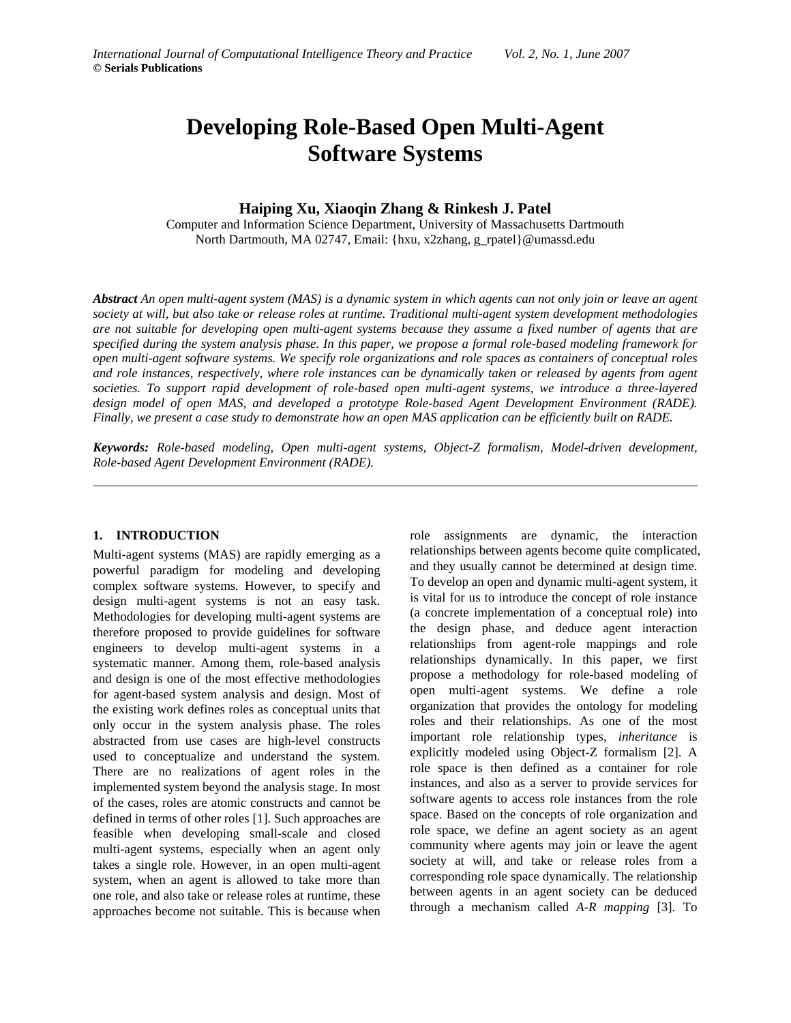# **Developing Role-Based Open Multi-Agent Software Systems**

# **Haiping Xu, Xiaoqin Zhang & Rinkesh J. Patel**

Computer and Information Science Department, University of Massachusetts Dartmouth North Dartmouth, MA 02747, Email: {hxu, x2zhang, g\_rpatel}@umassd.edu

*Abstract An open multi-agent system (MAS) is a dynamic system in which agents can not only join or leave an agent society at will, but also take or release roles at runtime. Traditional multi-agent system development methodologies are not suitable for developing open multi-agent systems because they assume a fixed number of agents that are specified during the system analysis phase. In this paper, we propose a formal role-based modeling framework for open multi-agent software systems. We specify role organizations and role spaces as containers of conceptual roles and role instances, respectively, where role instances can be dynamically taken or released by agents from agent societies. To support rapid development of role-based open multi-agent systems, we introduce a three-layered design model of open MAS, and developed a prototype Role-based Agent Development Environment (RADE). Finally, we present a case study to demonstrate how an open MAS application can be efficiently built on RADE.* 

*Keywords: Role-based modeling, Open multi-agent systems, Object-Z formalism, Model-driven development, Role-based Agent Development Environment (RADE).* 

## **1. INTRODUCTION**

Multi-agent systems (MAS) are rapidly emerging as a powerful paradigm for modeling and developing complex software systems. However, to specify and design multi-agent systems is not an easy task. Methodologies for developing multi-agent systems are therefore proposed to provide guidelines for software engineers to develop multi-agent systems in a systematic manner. Among them, role-based analysis and design is one of the most effective methodologies for agent-based system analysis and design. Most of the existing work defines roles as conceptual units that only occur in the system analysis phase. The roles abstracted from use cases are high-level constructs used to conceptualize and understand the system. There are no realizations of agent roles in the implemented system beyond the analysis stage. In most of the cases, roles are atomic constructs and cannot be defined in terms of other roles [1]. Such approaches are feasible when developing small-scale and closed multi-agent systems, especially when an agent only takes a single role. However, in an open multi-agent system, when an agent is allowed to take more than one role, and also take or release roles at runtime, these approaches become not suitable. This is because when

role assignments are dynamic, the interaction relationships between agents become quite complicated, and they usually cannot be determined at design time. To develop an open and dynamic multi-agent system, it is vital for us to introduce the concept of role instance (a concrete implementation of a conceptual role) into the design phase, and deduce agent interaction relationships from agent-role mappings and role relationships dynamically. In this paper, we first propose a methodology for role-based modeling of open multi-agent systems. We define a role organization that provides the ontology for modeling roles and their relationships. As one of the most important role relationship types, *inheritance* is explicitly modeled using Object-Z formalism [2]. A role space is then defined as a container for role instances, and also as a server to provide services for software agents to access role instances from the role space. Based on the concepts of role organization and role space, we define an agent society as an agent community where agents may join or leave the agent society at will, and take or release roles from a corresponding role space dynamically. The relationship between agents in an agent society can be deduced through a mechanism called *A-R mapping* [3]. To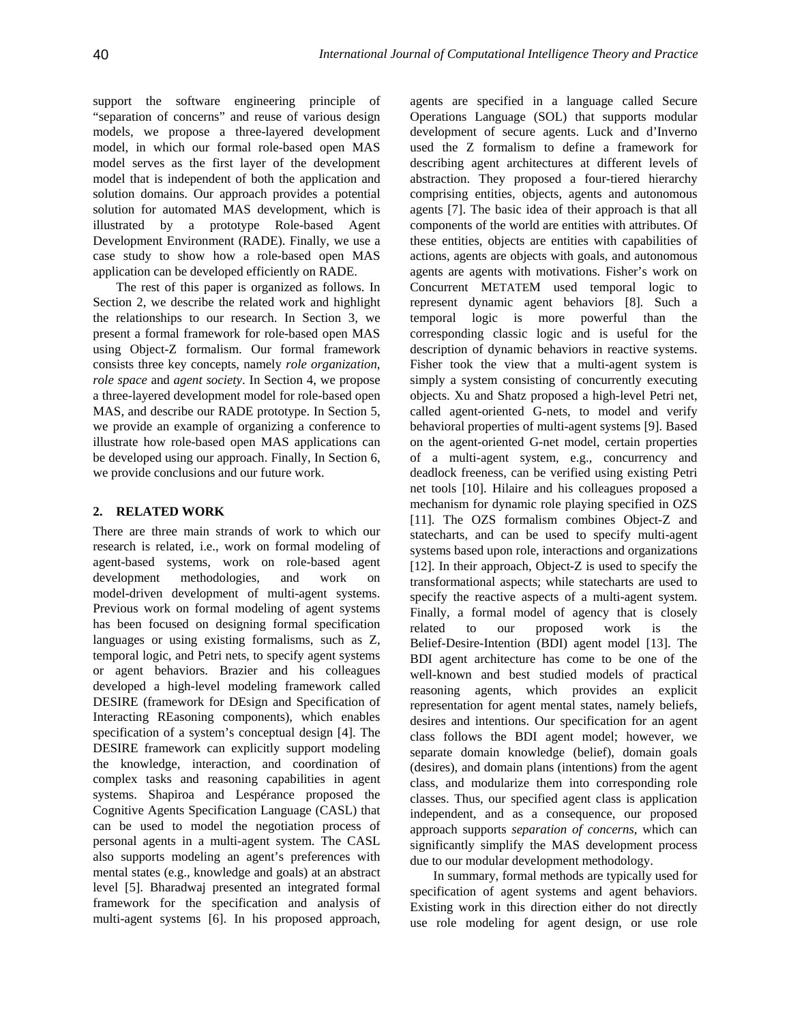support the software engineering principle of "separation of concerns" and reuse of various design models, we propose a three-layered development model, in which our formal role-based open MAS model serves as the first layer of the development model that is independent of both the application and solution domains. Our approach provides a potential solution for automated MAS development, which is illustrated by a prototype Role-based Agent Development Environment (RADE). Finally, we use a case study to show how a role-based open MAS application can be developed efficiently on RADE.

The rest of this paper is organized as follows. In Section 2, we describe the related work and highlight the relationships to our research. In Section 3, we present a formal framework for role-based open MAS using Object-Z formalism. Our formal framework consists three key concepts, namely *role organization*, *role space* and *agent society*. In Section 4, we propose a three-layered development model for role-based open MAS, and describe our RADE prototype. In Section 5, we provide an example of organizing a conference to illustrate how role-based open MAS applications can be developed using our approach. Finally, In Section 6, we provide conclusions and our future work.

## **2. RELATED WORK**

There are three main strands of work to which our research is related, i.e., work on formal modeling of agent-based systems, work on role-based agent development methodologies, and work on model-driven development of multi-agent systems. Previous work on formal modeling of agent systems has been focused on designing formal specification languages or using existing formalisms, such as Z, temporal logic, and Petri nets, to specify agent systems or agent behaviors. Brazier and his colleagues developed a high-level modeling framework called DESIRE (framework for DEsign and Specification of Interacting REasoning components), which enables specification of a system's conceptual design [4]. The DESIRE framework can explicitly support modeling the knowledge, interaction, and coordination of complex tasks and reasoning capabilities in agent systems. Shapiroa and Lespérance proposed the Cognitive Agents Specification Language (CASL) that can be used to model the negotiation process of personal agents in a multi-agent system. The CASL also supports modeling an agent's preferences with mental states (e.g., knowledge and goals) at an abstract level [5]. Bharadwaj presented an integrated formal framework for the specification and analysis of multi-agent systems [6]. In his proposed approach,

agents are specified in a language called Secure Operations Language (SOL) that supports modular development of secure agents. Luck and d'Inverno used the Z formalism to define a framework for describing agent architectures at different levels of abstraction. They proposed a four-tiered hierarchy comprising entities, objects, agents and autonomous agents [7]. The basic idea of their approach is that all components of the world are entities with attributes. Of these entities, objects are entities with capabilities of actions, agents are objects with goals, and autonomous agents are agents with motivations. Fisher's work on Concurrent METATEM used temporal logic to represent dynamic agent behaviors [8]. Such a temporal logic is more powerful than the corresponding classic logic and is useful for the description of dynamic behaviors in reactive systems. Fisher took the view that a multi-agent system is simply a system consisting of concurrently executing objects. Xu and Shatz proposed a high-level Petri net, called agent-oriented G-nets, to model and verify behavioral properties of multi-agent systems [9]. Based on the agent-oriented G-net model, certain properties of a multi-agent system, e.g., concurrency and deadlock freeness, can be verified using existing Petri net tools [10]. Hilaire and his colleagues proposed a mechanism for dynamic role playing specified in OZS [11]. The OZS formalism combines Object-Z and statecharts, and can be used to specify multi-agent systems based upon role, interactions and organizations [12]. In their approach, Object-Z is used to specify the transformational aspects; while statecharts are used to specify the reactive aspects of a multi-agent system. Finally, a formal model of agency that is closely related to our proposed work is the Belief-Desire-Intention (BDI) agent model [13]. The BDI agent architecture has come to be one of the well-known and best studied models of practical reasoning agents, which provides an explicit representation for agent mental states, namely beliefs, desires and intentions. Our specification for an agent class follows the BDI agent model; however, we separate domain knowledge (belief), domain goals (desires), and domain plans (intentions) from the agent class, and modularize them into corresponding role classes. Thus, our specified agent class is application independent, and as a consequence, our proposed approach supports *separation of concerns*, which can significantly simplify the MAS development process due to our modular development methodology.

In summary, formal methods are typically used for specification of agent systems and agent behaviors. Existing work in this direction either do not directly use role modeling for agent design, or use role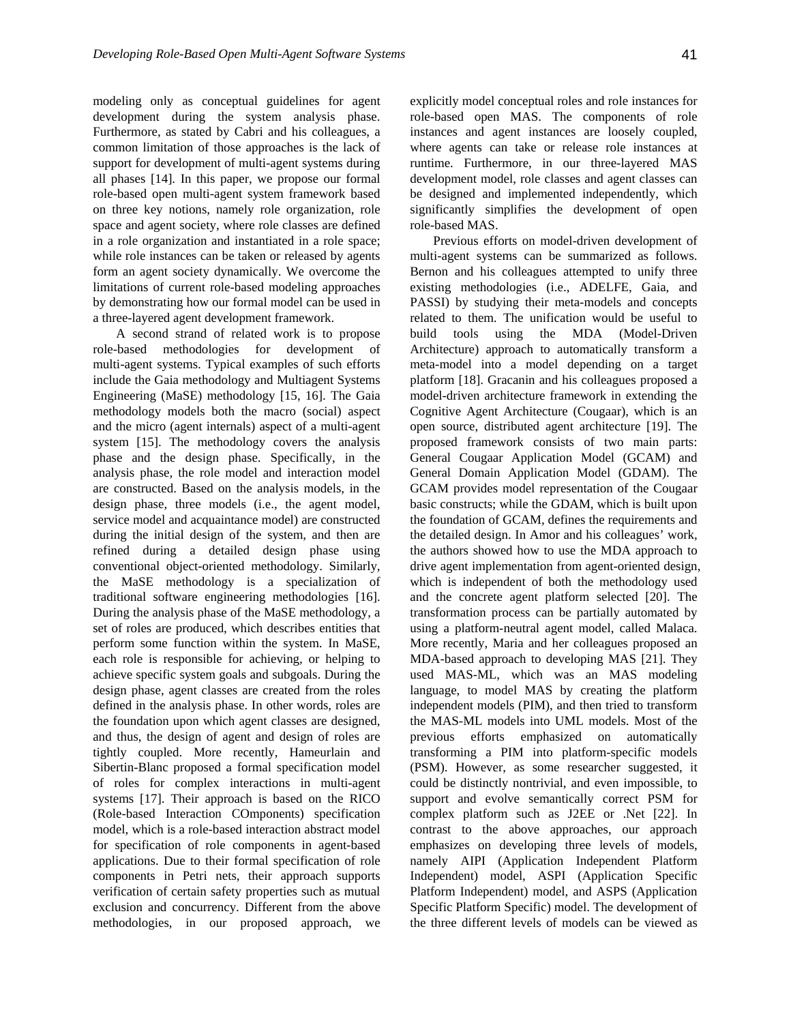modeling only as conceptual guidelines for agent development during the system analysis phase. Furthermore, as stated by Cabri and his colleagues, a common limitation of those approaches is the lack of support for development of multi-agent systems during all phases [14]. In this paper, we propose our formal role-based open multi-agent system framework based on three key notions, namely role organization, role space and agent society, where role classes are defined in a role organization and instantiated in a role space; while role instances can be taken or released by agents form an agent society dynamically. We overcome the limitations of current role-based modeling approaches by demonstrating how our formal model can be used in a three-layered agent development framework.

A second strand of related work is to propose role-based methodologies for development of multi-agent systems. Typical examples of such efforts include the Gaia methodology and Multiagent Systems Engineering (MaSE) methodology [15, 16]. The Gaia methodology models both the macro (social) aspect and the micro (agent internals) aspect of a multi-agent system [15]. The methodology covers the analysis phase and the design phase. Specifically, in the analysis phase, the role model and interaction model are constructed. Based on the analysis models, in the design phase, three models (i.e., the agent model, service model and acquaintance model) are constructed during the initial design of the system, and then are refined during a detailed design phase using conventional object-oriented methodology. Similarly, the MaSE methodology is a specialization of traditional software engineering methodologies [16]. During the analysis phase of the MaSE methodology, a set of roles are produced, which describes entities that perform some function within the system. In MaSE, each role is responsible for achieving, or helping to achieve specific system goals and subgoals. During the design phase, agent classes are created from the roles defined in the analysis phase. In other words, roles are the foundation upon which agent classes are designed, and thus, the design of agent and design of roles are tightly coupled. More recently, Hameurlain and Sibertin-Blanc proposed a formal specification model of roles for complex interactions in multi-agent systems [17]. Their approach is based on the RICO (Role-based Interaction COmponents) specification model, which is a role-based interaction abstract model for specification of role components in agent-based applications. Due to their formal specification of role components in Petri nets, their approach supports verification of certain safety properties such as mutual exclusion and concurrency. Different from the above methodologies, in our proposed approach, we explicitly model conceptual roles and role instances for role-based open MAS. The components of role instances and agent instances are loosely coupled, where agents can take or release role instances at runtime. Furthermore, in our three-layered MAS development model, role classes and agent classes can be designed and implemented independently, which significantly simplifies the development of open role-based MAS.

Previous efforts on model-driven development of multi-agent systems can be summarized as follows. Bernon and his colleagues attempted to unify three existing methodologies (i.e., ADELFE, Gaia, and PASSI) by studying their meta-models and concepts related to them. The unification would be useful to build tools using the MDA (Model-Driven Architecture) approach to automatically transform a meta-model into a model depending on a target platform [18]. Gracanin and his colleagues proposed a model-driven architecture framework in extending the Cognitive Agent Architecture (Cougaar), which is an open source, distributed agent architecture [19]. The proposed framework consists of two main parts: General Cougaar Application Model (GCAM) and General Domain Application Model (GDAM). The GCAM provides model representation of the Cougaar basic constructs; while the GDAM, which is built upon the foundation of GCAM, defines the requirements and the detailed design. In Amor and his colleagues' work, the authors showed how to use the MDA approach to drive agent implementation from agent-oriented design, which is independent of both the methodology used and the concrete agent platform selected [20]. The transformation process can be partially automated by using a platform-neutral agent model, called Malaca. More recently, Maria and her colleagues proposed an MDA-based approach to developing MAS [21]. They used MAS-ML, which was an MAS modeling language, to model MAS by creating the platform independent models (PIM), and then tried to transform the MAS-ML models into UML models. Most of the previous efforts emphasized on automatically transforming a PIM into platform-specific models (PSM). However, as some researcher suggested, it could be distinctly nontrivial, and even impossible, to support and evolve semantically correct PSM for complex platform such as J2EE or .Net [22]. In contrast to the above approaches, our approach emphasizes on developing three levels of models, namely AIPI (Application Independent Platform Independent) model, ASPI (Application Specific Platform Independent) model, and ASPS (Application Specific Platform Specific) model. The development of the three different levels of models can be viewed as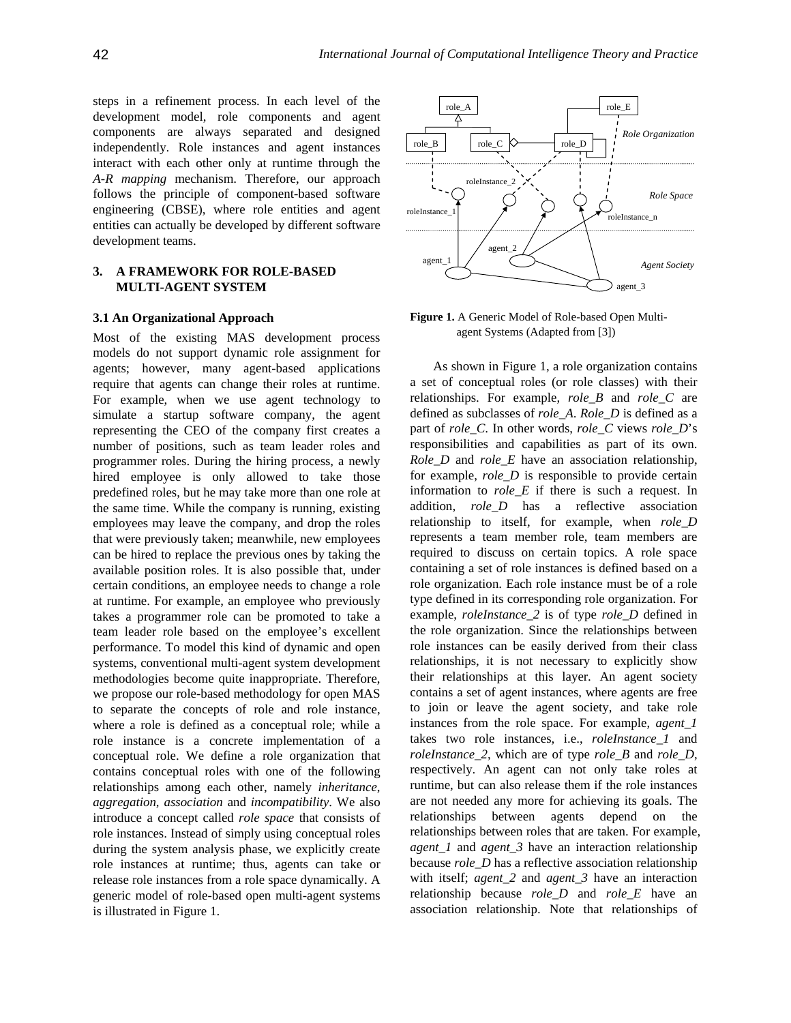steps in a refinement process. In each level of the  $\sqrt{\frac{r_{\text{role A}}}{r_{\text{role A}}}}$ development model, role components and agent components are always separated and designed independently. Role instances and agent instances interact with each other only at runtime through the *A-R mapping* mechanism. Therefore, our approach follows the principle of component-based software engineering (CBSE), where role entities and agent entities can actually be developed by different software development teams.

## **3. A FRAMEWORK FOR ROLE-BASED MULTI-AGENT SYSTEM**

## **3.1 An Organizational Approach**

Most of the existing MAS development process models do not support dynamic role assignment for agents; however, many agent-based applications require that agents can change their roles at runtime. For example, when we use agent technology to simulate a startup software company, the agent representing the CEO of the company first creates a number of positions, such as team leader roles and programmer roles. During the hiring process, a newly hired employee is only allowed to take those predefined roles, but he may take more than one role at the same time. While the company is running, existing employees may leave the company, and drop the roles that were previously taken; meanwhile, new employees can be hired to replace the previous ones by taking the available position roles. It is also possible that, under certain conditions, an employee needs to change a role at runtime. For example, an employee who previously takes a programmer role can be promoted to take a team leader role based on the employee's excellent performance. To model this kind of dynamic and open systems, conventional multi-agent system development methodologies become quite inappropriate. Therefore, we propose our role-based methodology for open MAS to separate the concepts of role and role instance, where a role is defined as a conceptual role; while a role instance is a concrete implementation of a conceptual role. We define a role organization that contains conceptual roles with one of the following relationships among each other, namely *inheritance*, *aggregation*, *association* and *incompatibility*. We also introduce a concept called *role space* that consists of role instances. Instead of simply using conceptual roles during the system analysis phase, we explicitly create role instances at runtime; thus, agents can take or release role instances from a role space dynamically. A generic model of role-based open multi-agent systems is illustrated in Figure 1.



**Figure 1.** A Generic Model of Role-based Open Multiagent Systems (Adapted from [3])

As shown in Figure 1, a role organization contains a set of conceptual roles (or role classes) with their relationships. For example, *role\_B* and *role\_C* are defined as subclasses of *role\_A*. *Role\_D* is defined as a part of *role\_C*. In other words, *role\_C* views *role\_D*'s responsibilities and capabilities as part of its own. *Role\_D* and *role\_E* have an association relationship, for example, *role\_D* is responsible to provide certain information to *role\_E* if there is such a request. In addition, *role\_D* has a reflective association relationship to itself, for example, when *role\_D* represents a team member role, team members are required to discuss on certain topics. A role space containing a set of role instances is defined based on a role organization. Each role instance must be of a role type defined in its corresponding role organization. For example, *roleInstance\_2* is of type *role\_D* defined in the role organization. Since the relationships between role instances can be easily derived from their class relationships, it is not necessary to explicitly show their relationships at this layer. An agent society contains a set of agent instances, where agents are free to join or leave the agent society, and take role instances from the role space. For example, *agent\_1* takes two role instances, i.e., *roleInstance\_1* and *roleInstance\_2*, which are of type *role\_B* and *role\_D*, respectively. An agent can not only take roles at runtime, but can also release them if the role instances are not needed any more for achieving its goals. The relationships between agents depend on the relationships between roles that are taken. For example, *agent\_1* and *agent\_3* have an interaction relationship because *role\_D* has a reflective association relationship with itself; *agent\_2* and *agent\_3* have an interaction relationship because *role\_D* and *role\_E* have an association relationship. Note that relationships of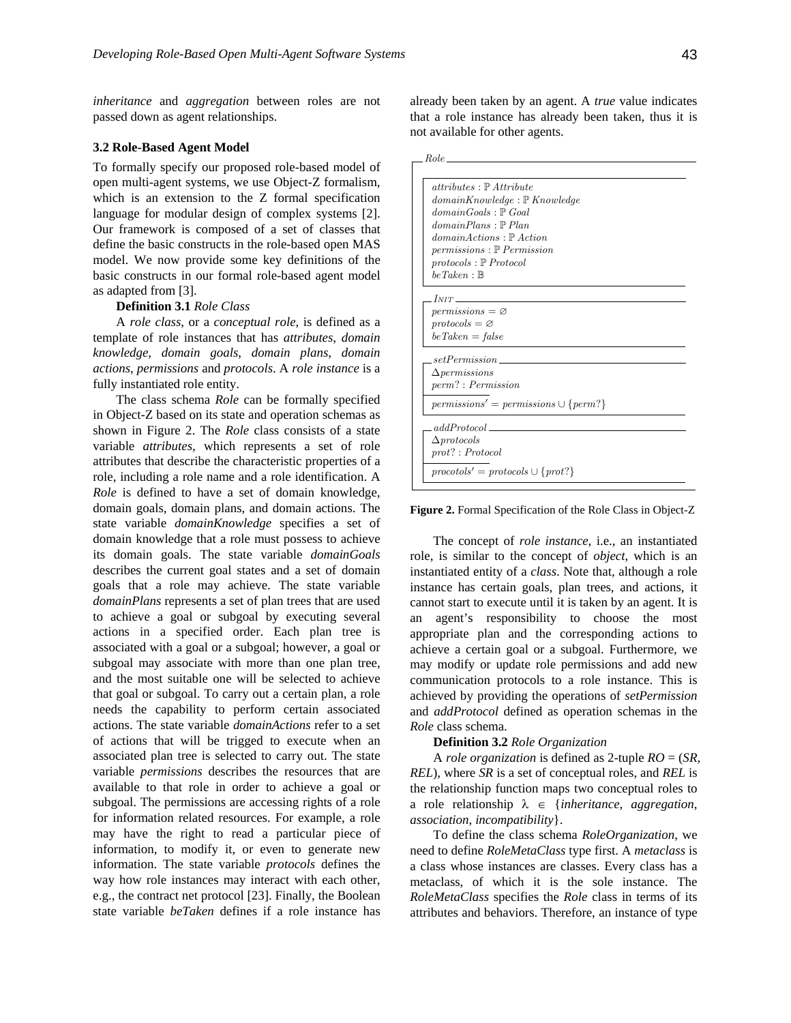*inheritance* and *aggregation* between roles are not passed down as agent relationships.

## **3.2 Role-Based Agent Model**

To formally specify our proposed role-based model of open multi-agent systems, we use Object-Z formalism, which is an extension to the Z formal specification language for modular design of complex systems [2]. Our framework is composed of a set of classes that define the basic constructs in the role-based open MAS model. We now provide some key definitions of the basic constructs in our formal role-based agent model as adapted from [3].

#### **Definition 3.1** *Role Class*

A *role class*, or a *conceptual role*, is defined as a template of role instances that has *attributes*, *domain knowledge*, *domain goals*, *domain plans*, *domain actions*, *permissions* and *protocols*. A *role instance* is a fully instantiated role entity.

The class schema *Role* can be formally specified in Object-Z based on its state and operation schemas as shown in Figure 2. The *Role* class consists of a state variable *attributes*, which represents a set of role attributes that describe the characteristic properties of a role, including a role name and a role identification. A *Role* is defined to have a set of domain knowledge, domain goals, domain plans, and domain actions. The state variable *domainKnowledge* specifies a set of domain knowledge that a role must possess to achieve its domain goals. The state variable *domainGoals* describes the current goal states and a set of domain goals that a role may achieve. The state variable *domainPlans* represents a set of plan trees that are used to achieve a goal or subgoal by executing several actions in a specified order. Each plan tree is associated with a goal or a subgoal; however, a goal or subgoal may associate with more than one plan tree, and the most suitable one will be selected to achieve that goal or subgoal. To carry out a certain plan, a role needs the capability to perform certain associated actions. The state variable *domainActions* refer to a set of actions that will be trigged to execute when an associated plan tree is selected to carry out. The state variable *permissions* describes the resources that are available to that role in order to achieve a goal or subgoal. The permissions are accessing rights of a role for information related resources. For example, a role may have the right to read a particular piece of information, to modify it, or even to generate new information. The state variable *protocols* defines the way how role instances may interact with each other, e.g., the contract net protocol [23]. Finally, the Boolean state variable *beTaken* defines if a role instance has already been taken by an agent. A *true* value indicates that a role instance has already been taken, thus it is not available for other agents.

| Role.                                   |                                                                     |  |
|-----------------------------------------|---------------------------------------------------------------------|--|
|                                         |                                                                     |  |
| $attributes \cdot \mathbb{P}$ Attribute |                                                                     |  |
|                                         | $domainKnowledge : \mathbb{P}$ Knowledge                            |  |
| $domainGools : \mathbb{P}$ Goal         |                                                                     |  |
| domainPlans : P                         |                                                                     |  |
|                                         | domain Actions : P Action                                           |  |
|                                         | $permissions: \mathbb{P}$ <i>Permission</i>                         |  |
| $protocols: \mathbb{P}$ Protocol        |                                                                     |  |
| $be$ Taken: $\mathbb B$                 |                                                                     |  |
|                                         |                                                                     |  |
| $I_{NIT}$                               |                                                                     |  |
| $permissions = \varnothing$             |                                                                     |  |
| $proto cos s = \varnothing$             |                                                                     |  |
| $be Taken = false$                      |                                                                     |  |
|                                         |                                                                     |  |
| setPermission                           |                                                                     |  |
| $\Delta \textit{permissions}$           |                                                                     |  |
| $perm$ ?: $Permission$                  |                                                                     |  |
|                                         | $permissions' = permissions \cup \{perm\}$                          |  |
|                                         |                                                                     |  |
| addProtocol                             |                                                                     |  |
| $\Delta$ <i>protocols</i>               |                                                                     |  |
| prot? : Protocol                        |                                                                     |  |
|                                         |                                                                     |  |
|                                         | $\textit{procotols'} = \textit{protocols} \cup \{\textit{prot?}\}\$ |  |
|                                         |                                                                     |  |

#### **Figure 2.** Formal Specification of the Role Class in Object-Z

The concept of *role instance*, i.e., an instantiated role, is similar to the concept of *object*, which is an instantiated entity of a *class*. Note that, although a role instance has certain goals, plan trees, and actions, it cannot start to execute until it is taken by an agent. It is an agent's responsibility to choose the most appropriate plan and the corresponding actions to achieve a certain goal or a subgoal. Furthermore, we may modify or update role permissions and add new communication protocols to a role instance. This is achieved by providing the operations of *setPermission* and *addProtocol* defined as operation schemas in the *Role* class schema.

#### **Definition 3.2** *Role Organization*

A *role organization* is defined as 2-tuple *RO* = (*SR*, *REL*), where *SR* is a set of conceptual roles, and *REL* is the relationship function maps two conceptual roles to a role relationship  $\lambda \in \{inherentance, aggregation,$ *association*, *incompatibility*}.

To define the class schema *RoleOrganization*, we need to define *RoleMetaClass* type first. A *metaclass* is a class whose instances are classes. Every class has a metaclass, of which it is the sole instance. The *RoleMetaClass* specifies the *Role* class in terms of its attributes and behaviors. Therefore, an instance of type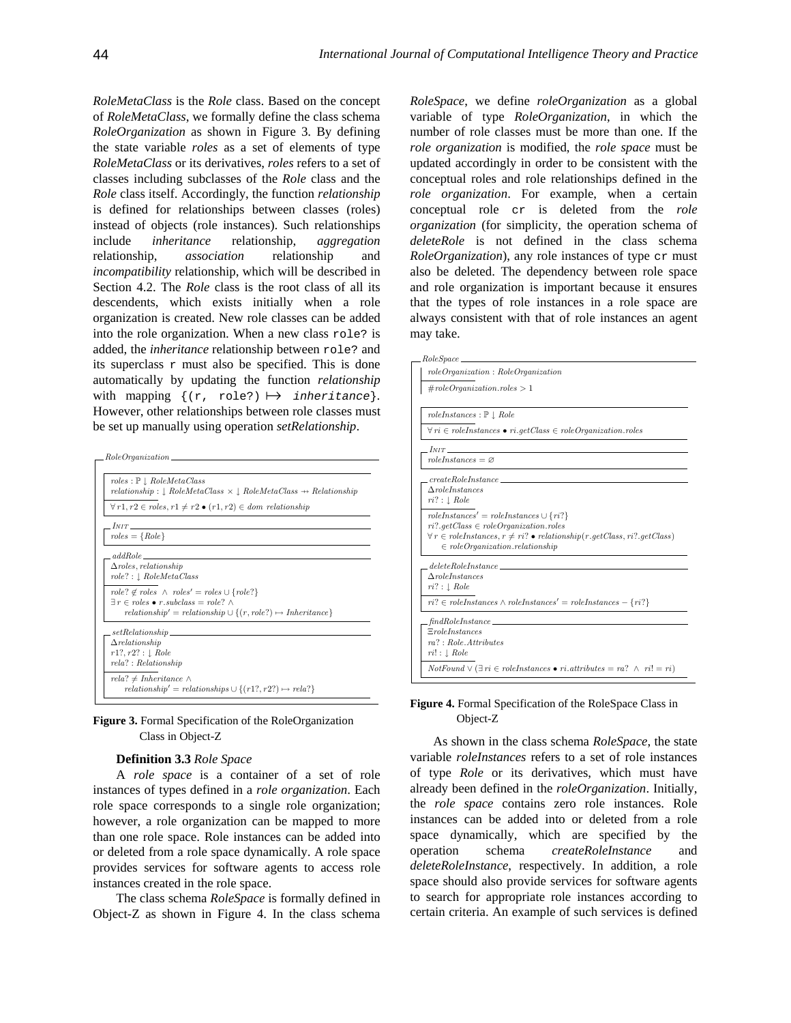*RoleMetaClass* is the *Role* class. Based on the concept of *RoleMetaClass*, we formally define the class schema *RoleOrganization* as shown in Figure 3. By defining the state variable *roles* as a set of elements of type *RoleMetaClass* or its derivatives, *roles* refers to a set of classes including subclasses of the *Role* class and the *Role* class itself. Accordingly, the function *relationship* is defined for relationships between classes (roles) instead of objects (role instances). Such relationships include *inheritance* relationship, *aggregation* relationship, *association* relationship and *incompatibility* relationship, which will be described in Section 4.2. The *Role* class is the root class of all its descendents, which exists initially when a role organization is created. New role classes can be added into the role organization. When a new class role? is added, the *inheritance* relationship between role? and its superclass  $r$  must also be specified. This is done automatically by updating the function *relationship* with mapping  $\{ (r, role?) \mapsto inheritance \}.$ However, other relationships between role classes must be set up manually using operation *setRelationship*.

| $roles: \mathbb{P} \perp RoleMetaClass$                  |                                                                                           |
|----------------------------------------------------------|-------------------------------------------------------------------------------------------|
|                                                          | $relationship: \bot$ RoleMetaClass $\times \bot$ RoleMetaClass $\rightarrow$ Relationship |
|                                                          | $\forall r1, r2 \in roles, r1 \neq r2 \bullet (r1, r2) \in dom \; relationship$           |
| $I_{NIT}$                                                |                                                                                           |
| $roles = \{Role\}$                                       |                                                                                           |
| addRole                                                  |                                                                                           |
| $\Delta$ roles, relationship                             |                                                                                           |
| $role? : \bot \t\textit{RoleMetaClass}$                  |                                                                                           |
|                                                          | $role? \notin roles \wedge roles' = roles \cup \{role? \}$                                |
| $\exists r \in roles \bullet r.subclass = role?$ $\land$ |                                                                                           |
|                                                          | $relationship' = relationship \cup \{(r, role?) \mapsto Inheritance\}$                    |
|                                                          |                                                                                           |
| $\Delta$ relationship                                    |                                                                                           |
| $r1?, r2? : \bot \; Role$                                |                                                                                           |
| $rela$ ?: Relationship                                   |                                                                                           |
| $rela? \neq Inheritance \land$                           |                                                                                           |
|                                                          | $relationship' = relationships \cup \{(r1?, r2?) \mapsto rela?\}$                         |



### **Definition 3.3** *Role Space*

A *role space* is a container of a set of role instances of types defined in a *role organization*. Each role space corresponds to a single role organization; however, a role organization can be mapped to more than one role space. Role instances can be added into or deleted from a role space dynamically. A role space provides services for software agents to access role instances created in the role space.

The class schema *RoleSpace* is formally defined in Object-Z as shown in Figure 4. In the class schema

*RoleSpace*, we define *roleOrganization* as a global variable of type *RoleOrganization*, in which the number of role classes must be more than one. If the *role organization* is modified, the *role space* must be updated accordingly in order to be consistent with the conceptual roles and role relationships defined in the *role organization*. For example, when a certain conceptual role cr is deleted from the *role organization* (for simplicity, the operation schema of *deleteRole* is not defined in the class schema *RoleOrganization*), any role instances of type cr must also be deleted. The dependency between role space and role organization is important because it ensures that the types of role instances in a role space are always consistent with that of role instances an agent may take.

| role Organization: Role Organization                                                                                                                                                                                        |
|-----------------------------------------------------------------------------------------------------------------------------------------------------------------------------------------------------------------------------|
| $\# role Organization. roles > 1$                                                                                                                                                                                           |
| $roleInstances: \mathbb{P} \perp Role$                                                                                                                                                                                      |
| $\forall r \in role Instantes \bullet ri.getClass \in role Organization. roles$                                                                                                                                             |
| INT                                                                                                                                                                                                                         |
| $roleInstances = \emptyset$                                                                                                                                                                                                 |
| $createRoleInstance \_\_$                                                                                                                                                                                                   |
| $\Delta$ roleInstances<br>$ri? : \bot \; Role$                                                                                                                                                                              |
| $roleInstances' = roleInstances \cup \{ri\}$<br>$ri$ ?.getClass $\in$ roleOrganization.roles<br>$\forall r \in role Instantes, r \neq ri$ ? • relationship(r.getClass, ri?.getClass)<br>$\in$ roleOrganization.relationship |
| deleteRoleInstance                                                                                                                                                                                                          |
| $\triangle$ roleInstances                                                                                                                                                                                                   |
| $ri? : \bot \; Role$                                                                                                                                                                                                        |
| $ri? \in role Instantes \land role Instantes' = role Instantes - \{ri?\}$                                                                                                                                                   |
| findRoleInstance                                                                                                                                                                                                            |
| $E$ roleInstances<br>ra?: Role. Attributes                                                                                                                                                                                  |
| $ri! : \downarrow \mathit{Role}$                                                                                                                                                                                            |
| $NotFound \vee (\exists ri \in role Instantes \bullet ri. attributes = ra? \land ri! = ri)$                                                                                                                                 |

## **Figure 4.** Formal Specification of the RoleSpace Class in Object-Z

As shown in the class schema *RoleSpace*, the state variable *roleInstances* refers to a set of role instances of type *Role* or its derivatives, which must have already been defined in the *roleOrganization*. Initially, the *role space* contains zero role instances. Role instances can be added into or deleted from a role space dynamically, which are specified by the operation schema *createRoleInstance* and *deleteRoleInstance*, respectively. In addition, a role space should also provide services for software agents to search for appropriate role instances according to certain criteria. An example of such services is defined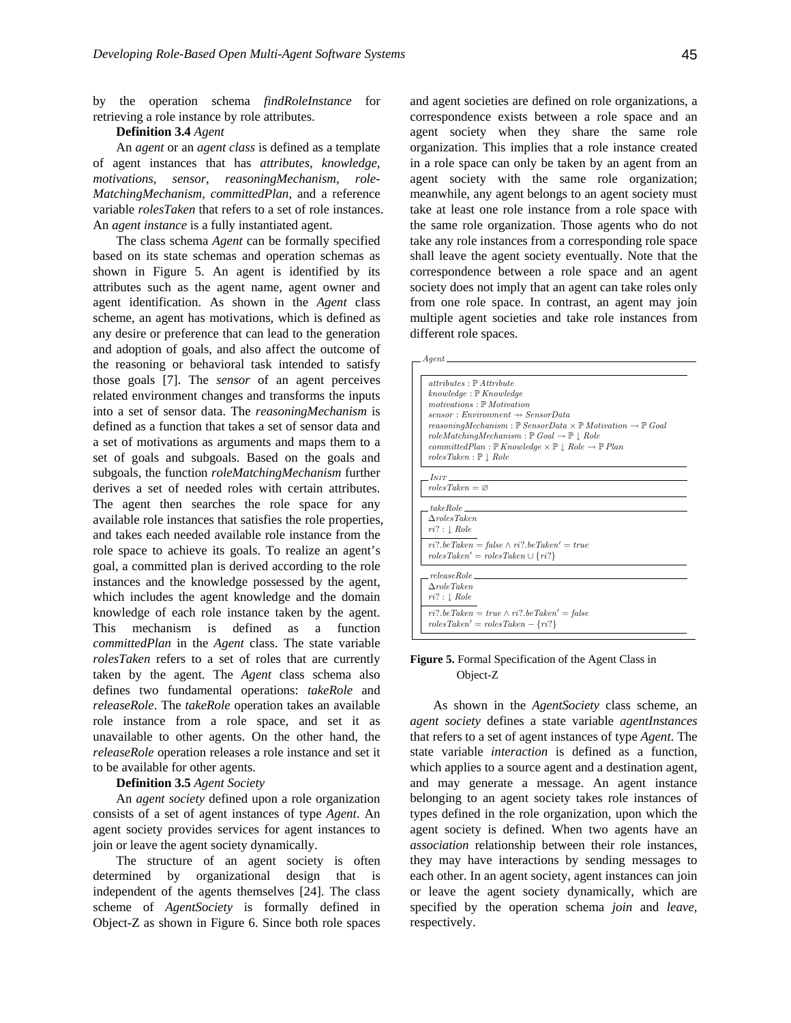by the operation schema *findRoleInstance* for retrieving a role instance by role attributes.

### **Definition 3.4** *Agent*

An *agent* or an *agent class* is defined as a template of agent instances that has *attributes*, *knowledge*, *motivations*, *sensor*, *reasoningMechanism*, *role-MatchingMechanism*, *committedPlan*, and a reference variable *rolesTaken* that refers to a set of role instances. An *agent instance* is a fully instantiated agent.

The class schema *Agent* can be formally specified based on its state schemas and operation schemas as shown in Figure 5. An agent is identified by its attributes such as the agent name, agent owner and agent identification. As shown in the *Agent* class scheme, an agent has motivations, which is defined as any desire or preference that can lead to the generation and adoption of goals, and also affect the outcome of the reasoning or behavioral task intended to satisfy those goals [7]. The *sensor* of an agent perceives related environment changes and transforms the inputs into a set of sensor data. The *reasoningMechanism* is defined as a function that takes a set of sensor data and a set of motivations as arguments and maps them to a set of goals and subgoals. Based on the goals and subgoals, the function *roleMatchingMechanism* further derives a set of needed roles with certain attributes. The agent then searches the role space for any available role instances that satisfies the role properties, and takes each needed available role instance from the role space to achieve its goals. To realize an agent's goal, a committed plan is derived according to the role instances and the knowledge possessed by the agent, which includes the agent knowledge and the domain knowledge of each role instance taken by the agent. This mechanism is defined as a function *committedPlan* in the *Agent* class. The state variable *rolesTaken* refers to a set of roles that are currently taken by the agent. The *Agent* class schema also defines two fundamental operations: *takeRole* and *releaseRole*. The *takeRole* operation takes an available role instance from a role space, and set it as unavailable to other agents. On the other hand, the *releaseRole* operation releases a role instance and set it to be available for other agents.

**Definition 3.5** *Agent Society*

An *agent society* defined upon a role organization consists of a set of agent instances of type *Agent*. An agent society provides services for agent instances to join or leave the agent society dynamically.

The structure of an agent society is often determined by organizational design that is independent of the agents themselves [24]. The class scheme of *AgentSociety* is formally defined in Object-Z as shown in Figure 6. Since both role spaces

and agent societies are defined on role organizations, a correspondence exists between a role space and an agent society when they share the same role organization. This implies that a role instance created in a role space can only be taken by an agent from an agent society with the same role organization; meanwhile, any agent belongs to an agent society must take at least one role instance from a role space with the same role organization. Those agents who do not take any role instances from a corresponding role space shall leave the agent society eventually. Note that the correspondence between a role space and an agent society does not imply that an agent can take roles only from one role space. In contrast, an agent may join multiple agent societies and take role instances from different role spaces.

| $\_$ Agent $\_\_$                                                                                       |
|---------------------------------------------------------------------------------------------------------|
|                                                                                                         |
| $attributes: \mathbb{P}$ Attribute                                                                      |
| $knowledge: \mathbb{P} Knowledge$                                                                       |
| $motivations: \mathbb{P}$ Motivation                                                                    |
| $sensor: Environment \rightarrow SensorData$                                                            |
| reasoningMechanism : $\mathbb P$ SensorData $\times \mathbb P$ Motivation $\to \mathbb P$ Goal          |
| $role Matching Mechanism: \mathbb{P}$ Goal $\rightarrow \mathbb{P}$   Role                              |
| committedPlan: $\mathbb{P}$ Knowledge $\times \mathbb{P} \downarrow$ Role $\rightarrow \mathbb{P}$ Plan |
| roles Taken : P   Role                                                                                  |
|                                                                                                         |
| $I_{NIT}$                                                                                               |
| $roles$ $Take$ <sup>n</sup> = $\varnothing$                                                             |
| take Role                                                                                               |
| $\triangle$ rolesTaken                                                                                  |
| $ri? : \bot \; Role$                                                                                    |
|                                                                                                         |
| $ri?$ be Taken = false $\wedge$ ri? be Taken' = true                                                    |
| $roles Taken' = roles Taken \cup \{ri\}$                                                                |
| releaseRole                                                                                             |
| $\Delta$ role Taken                                                                                     |
|                                                                                                         |
| $ri? : \bot \; Role$                                                                                    |
| $ri$ ?.beTaken = true $\wedge ri$ ?.beTaken' = false                                                    |
| $roles Taken' = roles Taken - \{ri\}$                                                                   |
|                                                                                                         |

## **Figure 5.** Formal Specification of the Agent Class in Object-Z

As shown in the *AgentSociety* class scheme, an *agent society* defines a state variable *agentInstances* that refers to a set of agent instances of type *Agent*. The state variable *interaction* is defined as a function, which applies to a source agent and a destination agent, and may generate a message. An agent instance belonging to an agent society takes role instances of types defined in the role organization, upon which the agent society is defined. When two agents have an *association* relationship between their role instances, they may have interactions by sending messages to each other. In an agent society, agent instances can join or leave the agent society dynamically, which are specified by the operation schema *join* and *leave*, respectively.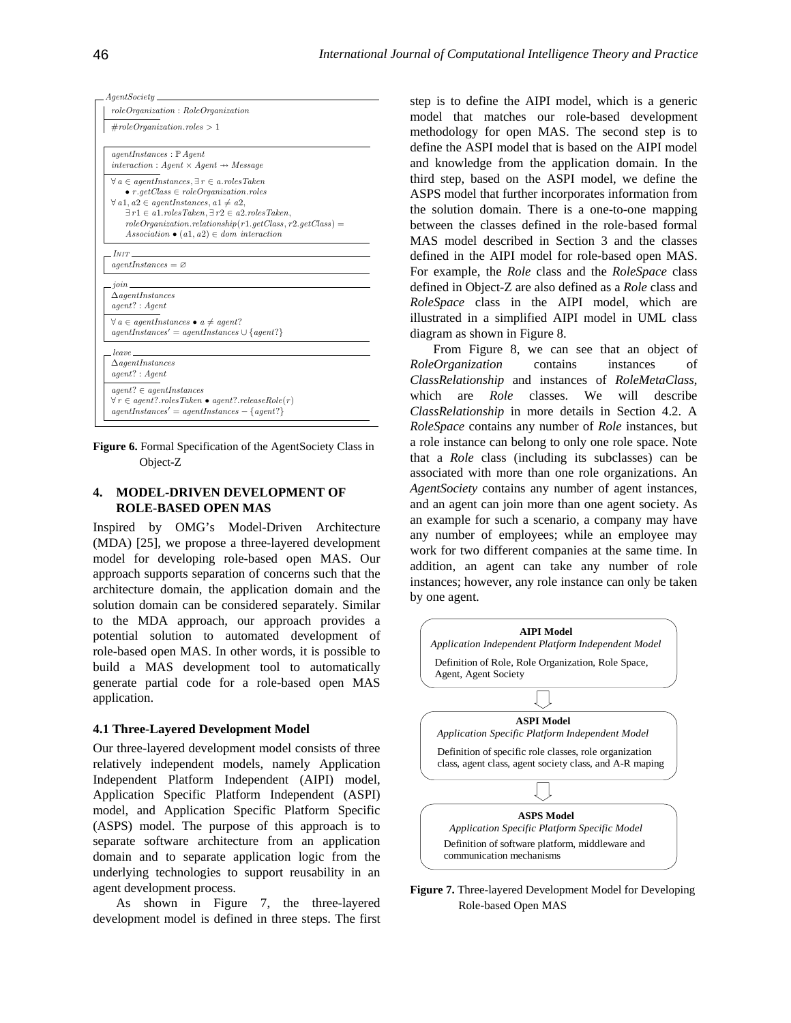|                     | $\# role Organization. roles > 1$                                                                                            |
|---------------------|------------------------------------------------------------------------------------------------------------------------------|
|                     |                                                                                                                              |
|                     | $agentInstances : P \text{} A qent$<br>interaction : Agent $\times$ Agent $\rightarrow$ Message                              |
|                     | $\forall a \in agentInstances, \exists r \in a. roles Taken$                                                                 |
|                     | $\bullet$ r.getClass $\in$ roleOrganization.roles                                                                            |
|                     | $\forall a1, a2 \in agentInstances, a1 \neq a2,$                                                                             |
|                     | $\exists r1 \in a1. roles Taken, \exists r2 \in a2. roles Taken,$                                                            |
|                     | $role Organization. relationship (r1.getClass, r2.getClass) =$                                                               |
|                     | Association $\bullet$ (a1, a2) $\in$ dom interaction                                                                         |
|                     |                                                                                                                              |
| $I_{NIT}$           |                                                                                                                              |
|                     | $agentInstances = \varnothing$                                                                                               |
|                     |                                                                                                                              |
| $join$ <sub>—</sub> | $\Delta$ agentInstances                                                                                                      |
|                     | $agent$ ?: $Agent$                                                                                                           |
|                     |                                                                                                                              |
|                     | $\forall a \in agentInstances \bullet a \ne agent?$                                                                          |
|                     | $agentInstances' = agentInstances \cup \{agent?\}$                                                                           |
|                     | <i>leave</i>                                                                                                                 |
|                     | $\Delta$ agentInstances                                                                                                      |
|                     | $agent$ ?: $Agent$                                                                                                           |
|                     |                                                                                                                              |
|                     | $agent? \in agentInstances$                                                                                                  |
|                     | $\forall r \in agent? \ldots \text{ } \ldots \text{ } \land \text{ } \ldots \text{ } \ldots \text{ } \ldots \text{ } \ldots$ |
|                     | $agentInstances' = agentInstances - {agent?}$                                                                                |

Figure 6. Formal Specification of the AgentSociety Class in Object-Z

## **ROLE-BASED OPEN MAS 4. MODEL-DRIVEN DEVELOPMENT OF**

Inspired by OMG's Model-Driven Architecture (MDA) [25], we propose a three-layered development model for developing role-based open MAS. Our approach supports separation of concerns such that the architecture domain, the application domain and the solution domain can be considered separately. Similar to the MDA approach, our approach provides a potential solution to automated development of role-based open MAS. In other words, it is possible to build a MAS development tool to automatically generate partial code for a role-based open MAS application.

#### **4.1 Three-Layered Development Model**

Our three-layered development model consists of three relatively independent models, namely Application Independent Platform Independent (AIPI) model, Application Specific Platform Independent (ASPI) model, and Application Specific Platform Specific (ASPS) model. The purpose of this approach is to separate software architecture from an application domain and to separate application logic from the underlying technologies to support reusability in an agent development process.

development model is defined in three steps. The first As shown in Figure 7, the three-layered

model that matches our role-based development met hodology for open MAS. The second step is to step is to define the AIPI model, which is a generic define the ASPI model that is based on the AIPI model and knowledge from the application domain. In the third step, based on the ASPI model, we define the ASPS model that further incorporates information from the solution domain. There is a one-to-one mapping between the classes defined in the role-based formal MAS model described in Section 3 and the classes defined in the AIPI model for role-based open MAS. For example, the *Role* class and the *RoleSpace* class defined in Object-Z are also defined as a *Role* class and *RoleSpace* class in the AIPI model, which are illustrated in a simplified AIPI model in UML class diagram as shown in Figure 8.

*sRelationship* in more details in Section 4.2. A *Clas RoleSpace* contains any number of *Role* instances, but a role instance can belong to only one role space. Note that a *Role* class (including its subclasses) can be associated with more than one role organizations. An *AgentSociety* contains any number of agent instances, and an agent can join more than one agent society. As an example for such a scenario, a company may have any number of employees; while an employee may work for two different companies at the same time. In addition, an agent can take any number of role instances; however, any role instance can only be taken by one agent. which are *Role* classes. We will describe From Figure 8, we can see that an object of *RoleOrganization* contains instances of *ClassRelationship* and instances of *RoleMetaClass*,



**Figure 7.** Three-layered Development Model for Developing Role-based Open MAS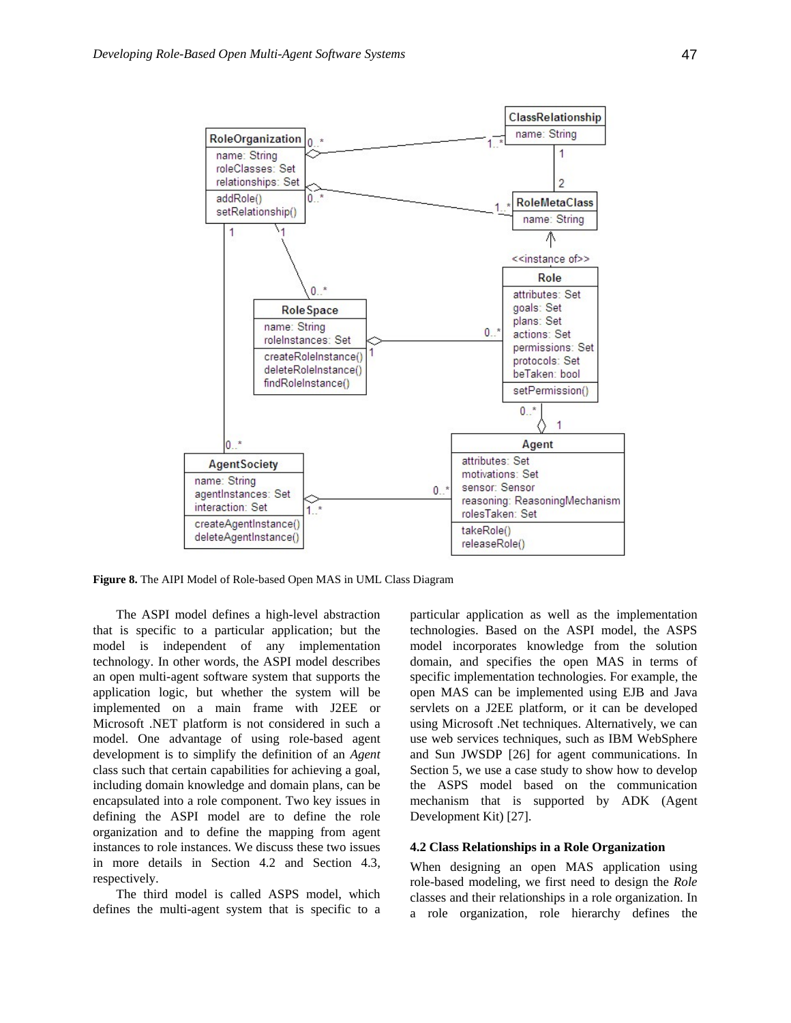

**Figure 8.** The AIPI Model of Role-based Open MAS in UML Class Diagram

The ASPI model defines a high-level abstraction that is specific to a particular application; but the model is independent of any implementation model i technology. In other words, the ASPI model describes an open multi-agent software system that supports the application logic, but whether the system will be implemented on a main frame with J2EE or Microsoft .NET platform is not considered in such a model. One advantage of using role-based agent development is to simplify the definition of an *Agent* class such that certain capabilities for achieving a goal, including domain knowledge and domain plans, can be encapsulated into a role component. Two key issues in defining the ASPI model are to define the role organization and to define the mapping from agent instances to role instances. We discuss these two issues in more details in Section 4.2 and Section 4.3, respectively.

The third model is called ASPS model, which defines the multi-agent system that is specific to a particular application as well as the implementation technologies. Based on the ASPI model, the ASPS model incorporates knowledge from the solution domain, and specifies the open MAS in terms of specific implementation technologies. For example, the open MAS can be implemented using EJB and Java servlets on a J2EE platform, or it can be developed using Microsoft .Net techniques. Alternatively, we can use web services techniques, such as IBM WebSphere and Sun JWSDP [26] for agent communications. In Section 5, we use a case study to show how to develop the ASPS model based on the communication mechanism that is supported by ADK (Agent Development Kit) [27].

## **4.2 Class Relationships in a Role Organization**

When designing an open MAS application using role-based modeling, we first need to design the *Role* classes and their relationships in a role organization. In a role organization, role hierarchy defines the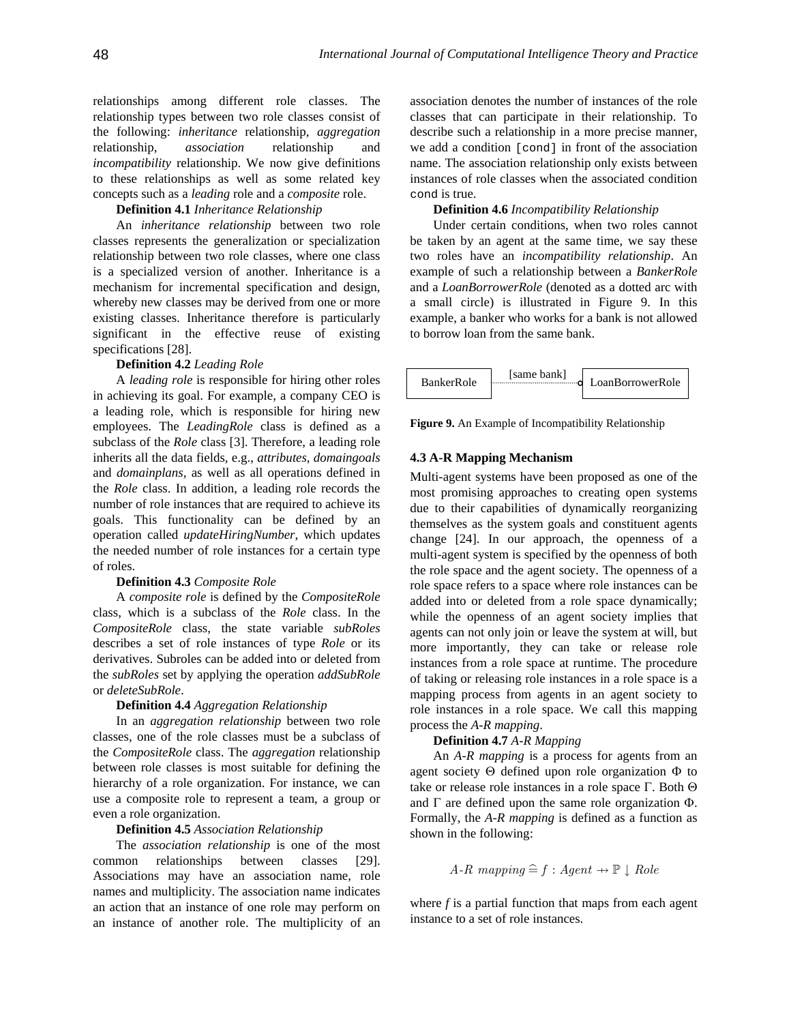relationships among different role classes. The relationship types between two role classes consist of the following: *inheritance* relationship, *aggregation* relationship, *association* relationship and *incompatibility* relationship. We now give definitions to these relationships as well as some related key concepts such as a *leading* role and a *composite* role.

## **Definition 4.1** *Inheritance Relationship*

An *inheritance relationship* between two role classes represents the generalization or specialization relationship between two role classes, where one class is a specialized version of another. Inheritance is a mechanism for incremental specification and design, whereby new classes may be derived from one or more xisting classes. Inheritance therefore is particularly e significant in the effective reuse of existing specifications [28].

#### **Definition 4.2** *Leading Role*

inherits all the data fields, e.g., *attributes*, *domaingoals* number of role instances that are required to achieve its goals. This functionality can be defined by an oper ation called *updateHiringNumber*, which updates A *leading role* is responsible for hiring other roles in achieving its goal. For example, a company CEO is a leading role, which is responsible for hiring new employees. The *LeadingRole* class is defined as a subclass of the *Role* class [3]. Therefore, a leading role and *domainplans*, as well as all operations defined in the *Role* class. In addition, a leading role records the the needed number of role instances for a certain type of roles.

#### **Definition 4.3** *Composite Role*

derivatives. Subroles can be added into or deleted from the *subRoles* set by applying the operation *addSubRole* or *d eleteSubRole*. A *composite role* is defined by the *CompositeRole* class, which is a subclass of the *Role* class. In the *CompositeRole* class, the state variable *subRoles* describes a set of role instances of type *Role* or its

#### **Definition 4.4** *Aggregation Relationship*

In an *aggregation relationship* between two role classes, one of the role classes must be a subclass of the *CompositeRole* class. The *aggregation* relationship between role classes is most suitable for defining the hierarchy of a role organization. For instance, we can use a composite role to represent a team, a group or even a role organization.

### **Definition 4.5** *Association Relationship*

Associations may have an association name, role names and multiplicity. The association name indicates an action that an instance of one role may perform on an instance of another role. The multiplicity of an The *association relationship* is one of the most common relationships between classes [29].

asso ciation denotes the number of instances of the role classes that can participate in their relationship. To describe such a relationship in a more precise manner, we add a condition [cond] in front of the association name. The association relationship only exists between instances of role classes when the associated condition cond is true.

## *p* **Definition 4.6** *Incompatibility Relationshi*

example, a banker who works for a bank is not allowed to b orrow loan from the same bank. Under certain conditions, when two roles cannot be taken by an agent at the same time, we say these two roles have an *incompatibility relationship*. An example of such a relationship between a *BankerRole* and a *LoanBorrowerRole* (denoted as a dotted arc with a small circle) is illustrated in Figure 9. In this



**Figure 9.** An Example of Incompatibility Relationship

## **4.3 A-R Mapping Mechanism**

change [24]. In our approach, the openness of a mul ti-agent system is specified by the openness of both of taking or releasing role instances in a role space is a mapping process from agents in an agent society to role instances in a role space. We call this mapping process the *A-R mapping*. Multi-agent systems have been proposed as one of the most promising approaches to creating open systems due to their capabilities of dynamically reorganizing themselves as the system goals and constituent agents the role space and the agent society. The openness of a role space refers to a space where role instances can be added into or deleted from a role space dynamically; while the openness of an agent society implies that agents can not only join or leave the system at will, but more importantly, they can take or release role instances from a role space at runtime. The procedure

## **Definition 4.7** *A-R Mapping*

An *A-R mapping* is a process for agents from an agent society Θ defined upon role organization Φ to take or release role instances in a role space  $\Gamma$ . Both  $\Theta$ and  $\Gamma$  are defined upon the same role organization  $\Phi$ . Formally, the *A-R mapping* is defined as a function as shown in the following: *A-R*  $mapping \text{ as a range of } A-R$ <br>*A-R*  $mapping \cong f : Agent \rightarrow \mathbb{P} \downarrow Role$ 

$$
A-R
$$
 mapping  $\widehat{=}$   $f : Agent \rightarrow \mathbb{P} \downarrow Role$ 

where *f* is a partial function that maps from each agent instance to a set of role instances.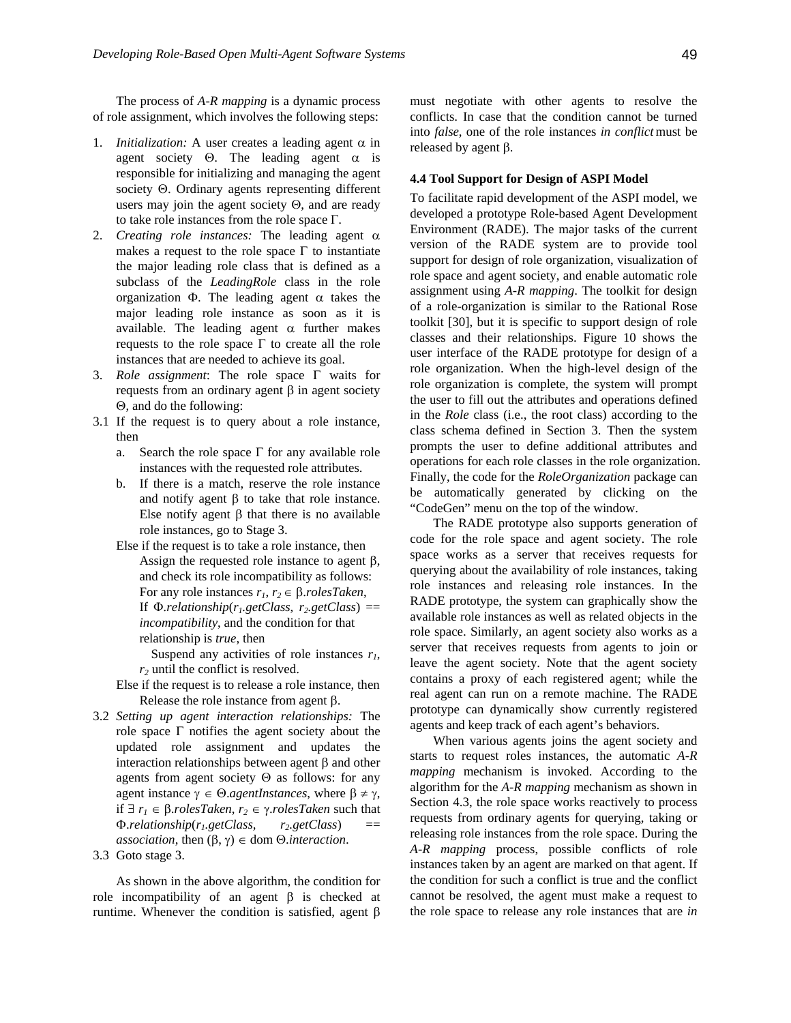The process of *A-R mapping* is a dynamic process of role assignment, which involves the following steps:

- 1. *Initialization:* A user creates a leading agent  $\alpha$  in agent society  $\Theta$ . The leading agent  $\alpha$  is responsible for initializing and managing the agent society Θ. Ordinary agents representing different users may join the agent society  $\Theta$ , and are ready to take role instances from the role space Γ.
- 2. *Creating role instances:* The leading agent α makes a request to the role space  $\Gamma$  to instantiate instances that are needed to achieve its goal. the major leading role class that is defined as a subclass of the *LeadingRole* class in the role organization  $\Phi$ . The leading agent  $\alpha$  takes the major leading role instance as soon as it is available. The leading agent  $\alpha$  further makes requests to the role space Γ to create all the role
- 3. *Role assignment*: The role space Γ waits for requests from an ordinary agent  $\beta$  in agent society Θ, and do the following:
- 3.1 If the request is to query about a role instance, then
	- a. Search the role space  $\Gamma$  for any available role instances with the requested role attributes.
	- b. If there is a match, reserve the role instance and notify agent β to take that role instance. Else notify agent β that there is no available role instances, go to Stage 3.
	- Else if the request is to take a role instance, then Assign the requested role instance to agent β, and check its role incompatibility as follows: For any role instances  $r_1, r_2 \in \beta$ .*rolesTaken*, If  $\Phi$ *.relationship*( $r_1$ *,getClass, r<sub>2</sub>,getClass)* == *incompatibility*, and the condition for that relationship is *true*, then

Suspend any activities of role instances  $r_1$ ,  $r<sub>2</sub>$  until the conflict is resolved.

- Else if the request is to release a role instance, then Release the role instance from agent β.
- *re* Φ. *lationship*(*r1.getClass, r2.getClass*) ==  $\text{association}, \text{ then } (\beta, \gamma) \in \text{dom } \Theta \text{.}$ *interaction*. 3.2 *Setting up agent interaction relationships:* The role space Γ notifies the agent society about the updated role assignment and updates the interaction relationships between agent β and other agents from agent society  $\Theta$  as follows: for any agent instance  $\gamma \in \Theta$ *agentInstances*, where  $\beta \neq \gamma$ , if ∃ *r1* ∈ β.*rolesTaken*, *r2* ∈ γ.*rolesTaken* such that
- 3.3 Goto stage 3.

As shown in the above algorithm, the condition for role incompatibility of an agent  $β$  is checked at runtime. Whenever the condition is satisfied, agent β must ne gotiate with other agents to resolve the conflicts . In case that the condition cannot be turned into *fals e*, one of the role instances *in conflict* must be release d by agent β.

#### **SPI Model 4.4 Tool Support for Design of A**

To facilit ate rapid development of the ASPI model, we Environment (RADE). The major tasks of the current role space and agent society, and enable automatic role assi gnment using *A-R mapping*. The toolkit for design of a role-organization is similar to the Rational Rose tool kit [30], but it is specific to support design of role clas ses and their relationships. Figure 10 shows the user interface of the RADE prototype for design of a role organization. When the high-level design of the role organization is complete, the system will prompt the user to fill out the attributes and operations defined in th e *Role* class (i.e., the root class) according to the developed a prototype Role-based Agent Development version of the RADE system are to provide tool support for design of role organization, visualization of class schema defined in Section 3. Then the system prompts the user to define additional attributes and operations for each role classes in the role organization. Finally, the code for the *RoleOrganization* package can be automatically generated by clicking on the "CodeGen" menu on the top of the window.

The RADE prototype also supports generation of code for the role space and agent society. The role space works as a server that receives requests for querying about the availability of role instances, taking role instances and releasing role instances. In the RADE prototype, the system can graphically show the available role instances as well as related objects in the role space. Similarly, an agent society also works as a server that receives requests from agents to join or leave the agent society. Note that the agent society contains a proxy of each registered agent; while the real agent can run on a remote machine. The RADE prototype can dynamically show currently registered agents and keep track of each agent's behaviors.

the condition for such a conflict is true and the conflict cannot be resolved, the agent must make a request to the role space to release any role instances that are *in*  When various agents joins the agent society and starts to request roles instances, the automatic *A-R mapping* mechanism is invoked. According to the algorithm for the *A-R mapping* mechanism as shown in Section 4.3, the role space works reactively to process requests from ordinary agents for querying, taking or releasing role instances from the role space. During the *A-R mapping* process, possible conflicts of role instances taken by an agent are marked on that agent. If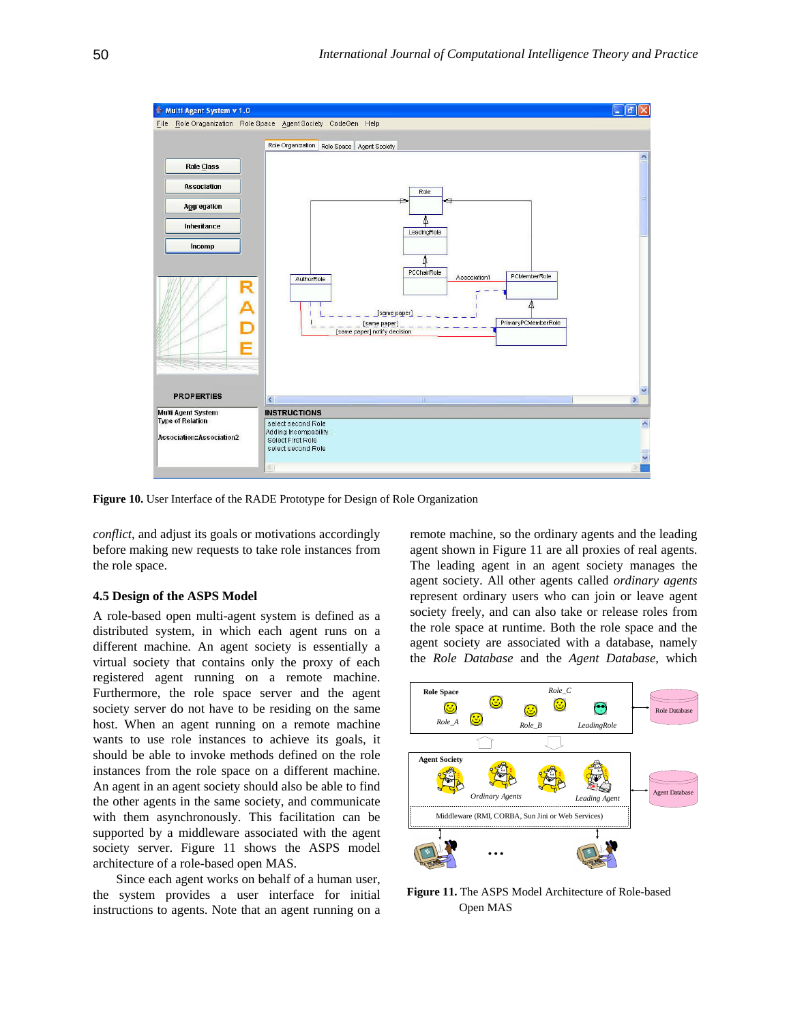

**Figure 10.** User Interface of the RADE Prototype for Design of Role Organization

*conflict*, an d adjust its goals or motivations accordingly before ma king new requests to take role instances from the role sp ace.

#### **4.5 Design of the ASPS Model**

A role-b ased open multi-agent system is defined as a distributed sys tem, in which each agent runs on a different m achine. An agent society is essentially a virtual so ciety that contains only the proxy of each registered agent running on a remote machine. Furtherm ore, the role space server and the agent society ser ver do not have to be residing on the same host. When an agent running on a remote machine wants to use role instances to achieve its goals, it should be able to invoke methods defined on the role instances from the role space on a different machine. An agent in an agent society should also be able to find the other ag ents in the same society, and communicate with them asynchronously. This facilitation can be supported by a middleware associated with the agent society server. Figure 11 shows the ASPS model architecture of a role-based open MAS.

Since each agent works on behalf of a human user, the system provides a user interface for initial instructions to agents. Note that an agent running on a

remote machine, so the ordinary agents and the leading agent shown in Figure 11 are all proxies of real agents. The leading agent in an agent society manages the agent society. All other agents called *ordinary agents* represent ordinary users who can join or leave agent society freely, and can also take or release roles from the role space at runtime. Both the role space and the agent society are associated with a database, namely the *Role Database* and the *Agent Database*, which



**Figure 11.** The ASPS Model Architecture of Role-based Open MAS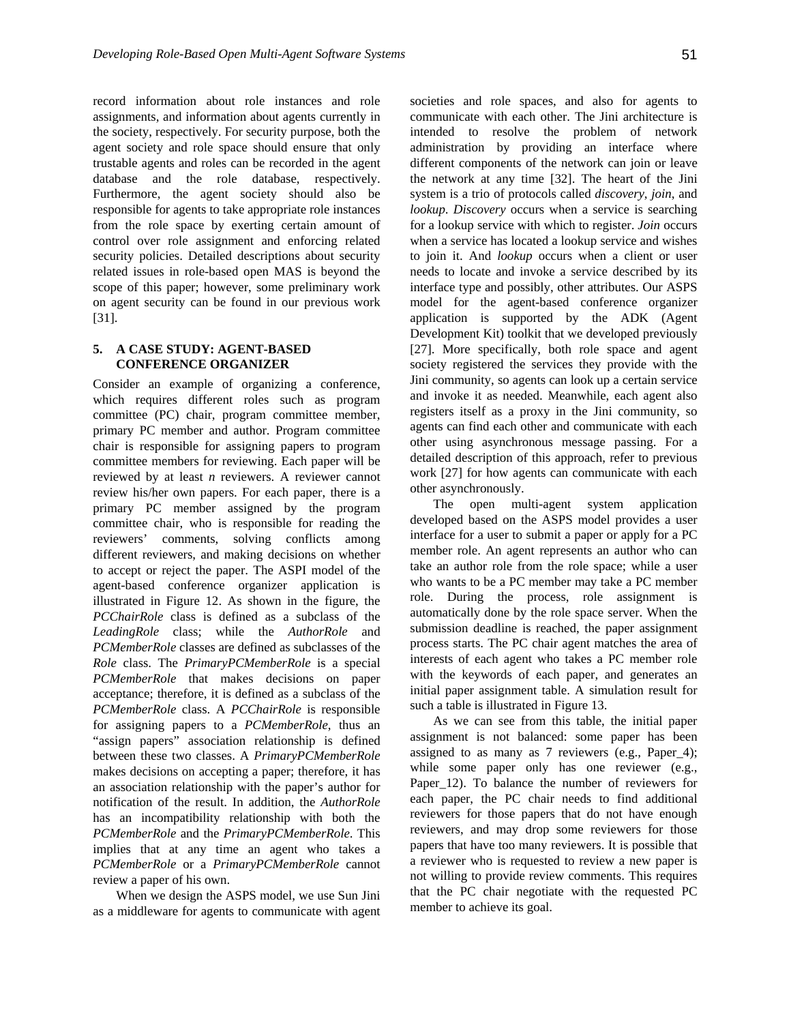reco rd information about role instances and role assignments, and information about agents currently in the society, respectively. For security purpose, both the agent society and role space should ensure that only trustable agents and roles can be recorded in the agent database and the role database, respectively. Furthermore, the agent society should also be responsible for agents to take appropriate role instances from the role space by exerting certain amount of control over role assignment and enforcing related security policies. Detailed descriptions about security related issues in role-based open MAS is beyond the scope of this paper; however, some preliminary work on agent security can be found in our previous work [31].

## **5. A CASE STUDY: AGENT-BASED CONFERENCE ORGANIZER**

primary PC member assigned by the program reviewers' comments, solving conflicts among different reviewers, and making decisions on whether Consider an example of organizing a conference, which requires different roles such as program committee (PC) chair, program committee member, primary PC member and author. Program committee chair is responsible for assigning papers to program committee members for reviewing. Each paper will be reviewed by at least *n* reviewers. A reviewer cannot review his/her own papers. For each paper, there is a committee chair, who is responsible for reading the to accept or reject the paper. The ASPI model of the agent-based conference organizer application is illustrated in Figure 12. As shown in the figure, the *PCChairRole* class is defined as a subclass of the *LeadingRole* class; while the *AuthorRole* and *PCMemberRole* classes are defined as subclasses of the *Role* class. The *PrimaryPCMemberRole* is a special *PCMemberRole* that makes decisions on paper acceptance; therefore, it is defined as a subclass of the *PCMemberRole* class. A *PCChairRole* is responsible for assigning papers to a *PCMemberRole*, thus an "assign papers" association relationship is defined between these two classes. A *PrimaryPCMemberRole* makes decisions on accepting a paper; therefore, it has an association relationship with the paper's author for notification of the result. In addition, the *AuthorRole* has an incompatibility relationship with both the *PCMemberRole* and the *PrimaryPCMemberRole*. This implies that at any time an agent who takes a *PCMemberRole* or a *PrimaryPCMemberRole* cannot review a paper of his own.

When we design the ASPS model, we use Sun Jini as a middleware for agents to communicate with agent

societies and role spaces, and also for agents to communicate with each other. The Jini architecture is intended to resolve the problem of network administration by providing an interface where different components of the network can join or leave the network at any time [32]. The heart of the Jini system is a trio of protocols called *discovery*, *join*, and *lookup*. *Discovery* occurs when a service is searching for a lookup service with which to register. *Join* occurs when a service has located a lookup service and wishes to join it. And *lookup* occurs when a client or user needs to locate and invoke a service described by its interface type and possibly, other attributes. Our ASPS model for the agent-based conference organizer application is supported by the ADK (Agent Development Kit) toolkit that we developed previously [27]. More specifically, both role space and agent society registered the services they provide with the Jini community, so agents can look up a certain service and invoke it as needed. Meanwhile, each agent also registers itself as a proxy in the Jini community, so agents can find each other and communicate with each other using asynchronous message passing. For a detailed description of this approach, refer to previous work [27] for how agents can communicate with each other asynchronously.

The open multi-agent system application developed based on the ASPS model provides a user interface for a user to submit a paper or apply for a PC member role. An agent represents an author who can take an author role from the role space; while a user who wants to be a PC member may take a PC member role. During the process, role assignment is automatically done by the role space server. When the submission deadline is reached, the paper assignment process starts. The PC chair agent matches the area of interests of each agent who takes a PC member role with the keywords of each paper, and generates an initial paper assignment table. A simulation result for such a table is illustrated in Figure 13.

As we can see from this table, the initial paper assignment is not balanced: some paper has been assigned to as many as 7 reviewers (e.g., Paper\_4); while some paper only has one reviewer (e.g., Paper 12). To balance the number of reviewers for each paper, the PC chair needs to find additional reviewers for those papers that do not have enough reviewers, and may drop some reviewers for those papers that have too many reviewers. It is possible that a reviewer who is requested to review a new paper is not willing to provide review comments. This requires that the PC chair negotiate with the requested PC member to achieve its goal.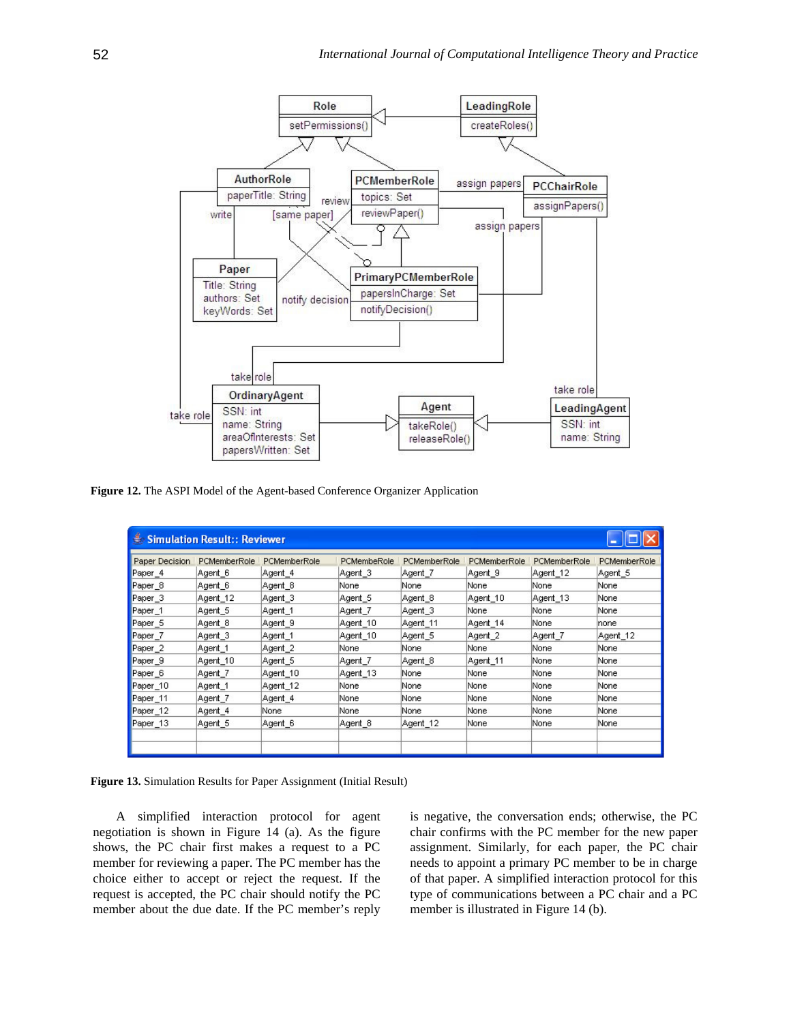

**Figure 12.** The ASPI Model of the Agent-based Conference Organizer Application

| Paper Decision     | PCMemberRole | PCMemberRole | PCMembeRole | PCMemberRole | PCMemberRole | PCMemberRole | <b>PCMemberRole</b> |
|--------------------|--------------|--------------|-------------|--------------|--------------|--------------|---------------------|
| Paper_4            | Agent 6      | Agent 4      | Agent 3     | Agent 7      | Agent 9      | Agent_12     | Agent 5             |
| Paper_8            | Agent 6      | Agent 8      | None        | None         | None.        | None         | None                |
| Paper_3            | Agent 12     | Agent 3      | Agent 5     | Agent 8      | Agent 10     | Agent 13     | None                |
| Paper_1            | Agent 5      | Agent 1      | Agent_7     | Agent_3      | None         | None         | None                |
| Paper <sub>5</sub> | Agent 8      | Agent 9      | Agent 10    | Agent 11     | Agent 14     | None         | none                |
| Paper_7            | Agent 3      | Agent 1      | Agent 10    | Agent 5      | Agent 2      | Agent 7      | Agent 12            |
| Paper_2            | Agent 1      | Agent 2      | None        | None         | None         | None         | None                |
| Paper <sub>9</sub> | Agent 10     | Agent 5      | Agent 7     | Agent 8      | Agent 11     | None         | None                |
| Paper <sub>6</sub> | Agent 7      | Agent 10     | Agent 13    | None         | None.        | None         | None                |
| Paper_10           | Agent 1      | Agent 12     | None        | None         | None.        | None         | None                |
| Paper_11           | Agent 7      | Agent 4      | None        | None         | None         | None         | None                |
| Paper_12           | Agent 4      | None         | None        | None         | None         | None         | None                |
| Paper_13           | Agent 5      | Agent 6      | Agent 8     | Agent 12     | None         | None         | None                |



A simplified interaction protocol for agent negotiation is shown in Figure 14 (a). As the figure shows, the PC chair first makes a request to a PC member for reviewing a paper. The PC member has the choice either to accept or reject the request. If the request is accepted, the PC chair should notify the PC member about the due date. If the PC member's reply

is negative, the conversation ends; otherwise, th e PC chair confirms with the PC member for the new paper assignment. Similarly, for each paper, the PC chair needs to appoint a primary PC member to be in charge of that paper. A simplified interaction protocol for this type of communications between a PC chair and a PC member is illustrated in Figure 14 (b).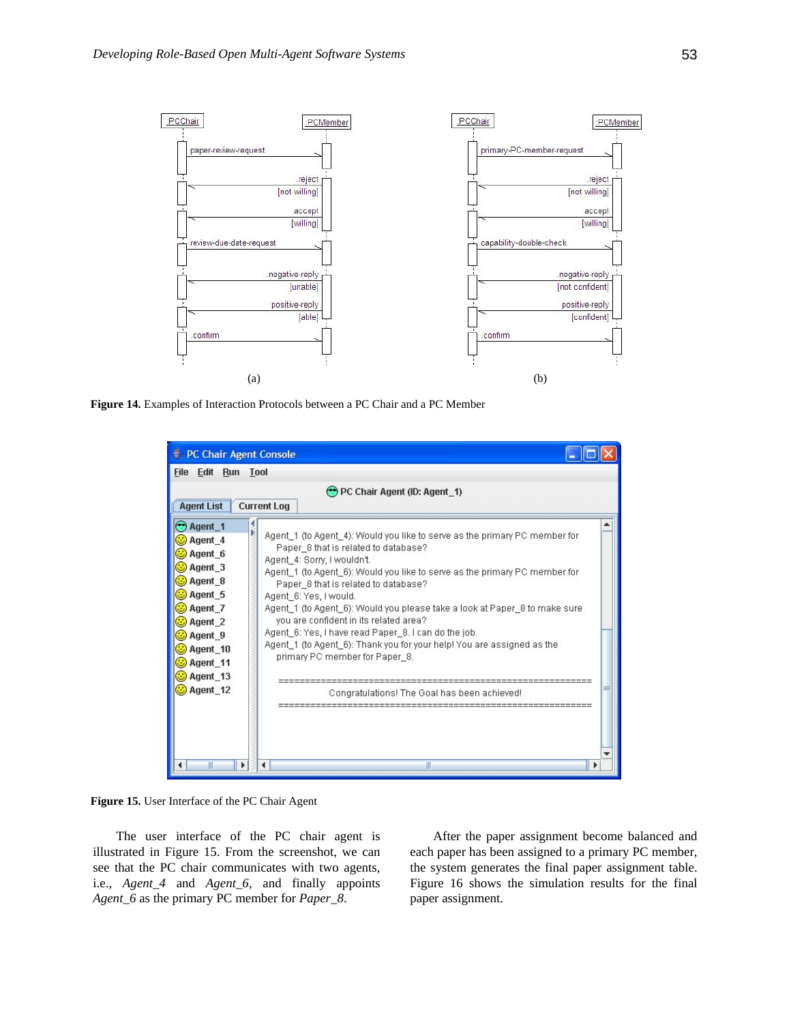

**Figure 14.** Examples of Interaction Protocols between a PC Chair and a PC Member

| PC Chair Agent Console                                                                                                                                                   |                                                                                                                                                                                                                                                                                                                                                                                                                                                                                                                                                                                                                                               |
|--------------------------------------------------------------------------------------------------------------------------------------------------------------------------|-----------------------------------------------------------------------------------------------------------------------------------------------------------------------------------------------------------------------------------------------------------------------------------------------------------------------------------------------------------------------------------------------------------------------------------------------------------------------------------------------------------------------------------------------------------------------------------------------------------------------------------------------|
| Edit Run Tool<br><b>File</b>                                                                                                                                             |                                                                                                                                                                                                                                                                                                                                                                                                                                                                                                                                                                                                                                               |
| <b>Agent List</b>                                                                                                                                                        | PC Chair Agent (ID: Agent_1)<br><b>Current Log</b>                                                                                                                                                                                                                                                                                                                                                                                                                                                                                                                                                                                            |
| ۹<br>ا<br>$\bigcirc$ Agent 1<br>S Agent 4<br>Agent 6<br>Agent_3<br>Agent_8<br>Agent_5<br>Agent_7<br>Agent_2<br>Agent_9<br>Agent_10<br>O Agent_11<br>Agent_13<br>Agent 12 | Agent_1 (to Agent_4): Would you like to serve as the primary PC member for<br>Paper 8 that is related to database?<br>Agent_4: Sorry, I wouldn't.<br>Agent_1 (to Agent_6): Would you like to serve as the primary PC member for<br>Paper_8 that is related to database?<br>Agent 6: Yes, I would.<br>Agent_1 (to Agent_6): Would you please take a look at Paper_8 to make sure<br>vou are confident in its related area?<br>Agent 6: Yes, I have read Paper 8. I can do the job.<br>Agent 1 (to Agent 6): Thank you for your help! You are assigned as the<br>primary PC member for Paper_8.<br>Congratulations! The Goal has been achieved! |
| Ш<br>Þ.                                                                                                                                                                  | Ш                                                                                                                                                                                                                                                                                                                                                                                                                                                                                                                                                                                                                                             |

**Figure 15.** User Interface of the PC Chair Agent

The user interface of the PC chair agent is illustrated in Figure 15. From the screenshot, we can see that the PC chair communicates with two agents, i.e., *Agent\_4* and *Agent\_6*, and finally appoints *Agent\_6* as the primary PC member for *Paper\_8*.

After the paper assignment become balanced and each paper has been assigned to a primary PC member, the system generates the final paper assignment table. Figure 16 shows the simulation results for the final paper assignment.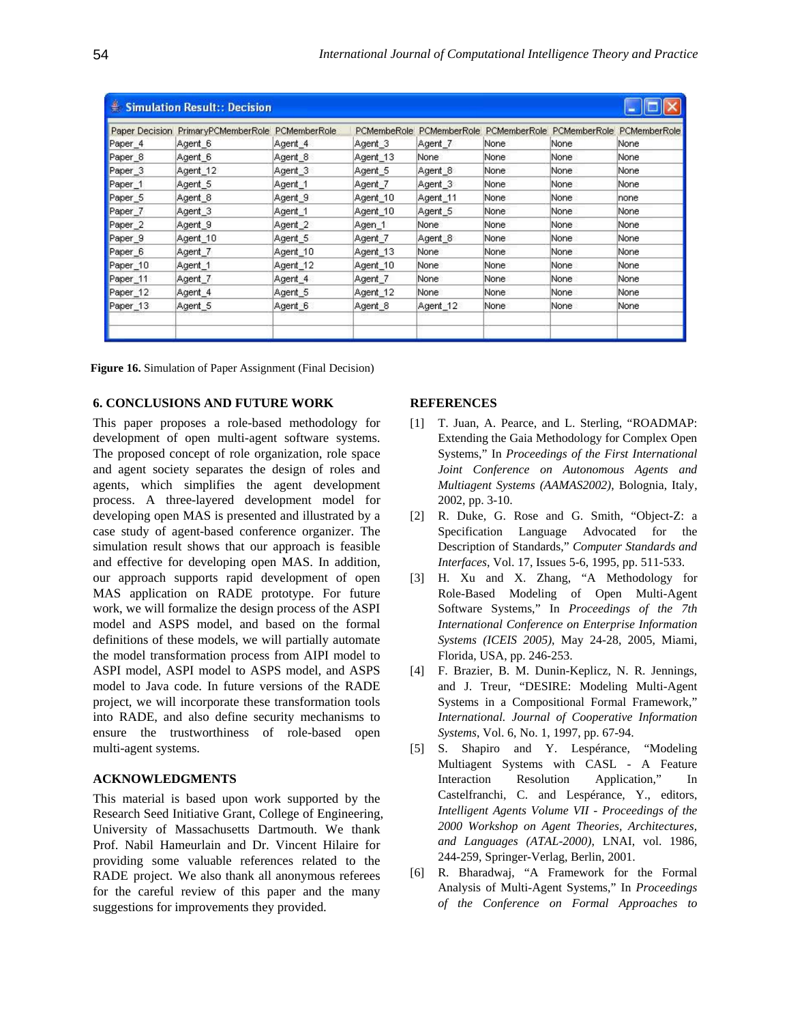| <b>Paper Decision</b> | PrimaryPCMemberRole PCMemberRole |          | <b>PCMembeRole</b> | PCMemberRole | <b>PCMemberRole</b> | PCMemberRole | PCMemberRole |
|-----------------------|----------------------------------|----------|--------------------|--------------|---------------------|--------------|--------------|
| Paper <sub>4</sub>    | Agent 6                          | Agent_4  | Agent <sub>3</sub> | Agent 7      | None                | None         | None         |
| Paper_8               | Agent 6                          | Agent 8  | Agent 13           | None         | None                | None         | None         |
| Paper_3               | Agent_12                         | Agent 3  | Agent 5            | Agent 8      | None                | None         | None         |
| Paper_1               | Agent 5                          | Agent 1  | Agent 7            | Agent 3      | None                | None         | None         |
| Paper <sub>5</sub>    | Agent 8                          | Agent 9  | Agent 10           | Agent 11     | None                | None         | none         |
| Paper <sub>7</sub>    | Agent 3                          | Agent 1  | Agent 10           | Agent 5      | None                | None         | None         |
| Paper <sub>2</sub>    | Agent 9                          | Agent 2  | Agen 1             | None         | None                | None         | None         |
| Paper 9               | Agent 10                         | Agent 5  | Agent 7            | Agent 8      | None                | None         | None         |
| Paper <sub>6</sub>    | Agent 7                          | Agent 10 | Agent 13           | None         | None                | None         | None         |
| Paper 10              | Agent 1                          | Agent 12 | Agent 10           | None         | None                | None         | None         |
| Paper_11              | Agent 7                          | Agent 4  | Agent 7            | None         | None                | None         | None         |
| Paper_12              | Agent 4                          | Agent 5  | Agent 12           | None         | None                | None         | None         |
| Paper 13              | Agent 5                          | Agent 6  | Agent 8            | Agent 12     | None                | None         | None         |

**Figure 16.** Simulation of Paper Assignment (Final Decision)

## **6. CONCLUSIONS AND FUTURE WORK**

This paper proposes a role-based methodology for development of open multi-agent software systems. The proposed concept of role organization, role space and agent society separates the design of roles and agents, which simplifies the agent development process. A three-layered development model for developing open MAS is presented and illustrated by a case study of agent-based conference organizer. The simulation result shows that our approach is feasible and effective for developing open MAS. In addition, our approach supports rapid development of open MAS application on RADE prototype. For future work, we will formalize the design process of the ASPI model and ASPS model, and based on the formal definitions of these models, we will partially automate the model transformation process from AIPI model to ASPI model, ASPI model to ASPS model, and ASPS model to Java code. In future versions of the RADE project, we will incorporate these transformation tools into RADE, and also define security mechanisms to ensure the trustworthiness of role-based open multi-agent systems.

## **ACKNOWLEDGMENTS**

This material is based upon work supported by the Research Seed Initiative Grant, College of Engineering, University of Massachusetts Dartmouth. We thank Prof. Nabil Hameurlain and Dr. Vincent Hilaire for providing some valuable references related to the RADE project. We also thank all anonymous referees for the careful review of this paper and the many suggestions for improvements they provided.

## **REFERENCES**

- [1] T. Juan, A. Pearce, and L. Sterling, "ROADMAP: Extending the Gaia Methodology for Complex Open Systems," In *Proceedings of the First International Joint Conference on Autonomous Agents and Multiagent Systems (AAMAS2002)*, Bolognia, Italy, 2002, pp. 3-10.
- [2] R. Duke, G. Rose and G. Smith, "Object-Z: a Specification Language Advocated for the Description of Standards," *Computer Standards and Interfaces*, Vol. 17, Issues 5-6, 1995, pp. 511-533.
- [3] H. Xu and X. Zhang, "A Methodology for Role-Based Modeling of Open Multi-Agent Software Systems," In *Proceedings of the 7th International Conference on Enterprise Information Systems (ICEIS 2005)*, May 24-28, 2005, Miami, Florida, USA, pp. 246-253.
- [4] F. Brazier, B. M. Dunin-Keplicz, N. R. Jennings, and J. Treur, "DESIRE: Modeling Multi-Agent Systems in a Compositional Formal Framework," *International. Journal of Cooperative Information Systems*, Vol. 6, No. 1, 1997, pp. 67-94.
- [5] S. Shapiro and Y. Lespérance, "Modeling Multiagent Systems with CASL - A Feature Interaction Resolution Application," In Castelfranchi, C. and Lespérance, Y., editors, *Intelligent Agents Volume VII - Proceedings of the 2000 Workshop on Agent Theories, Architectures, and Languages (ATAL-2000)*, LNAI, vol. 1986, 244-259, Springer-Verlag, Berlin, 2001.
- [6] R. Bharadwaj, "A Framework for the Formal Analysis of Multi-Agent Systems," In *Proceedings of the Conference on Formal Approaches to*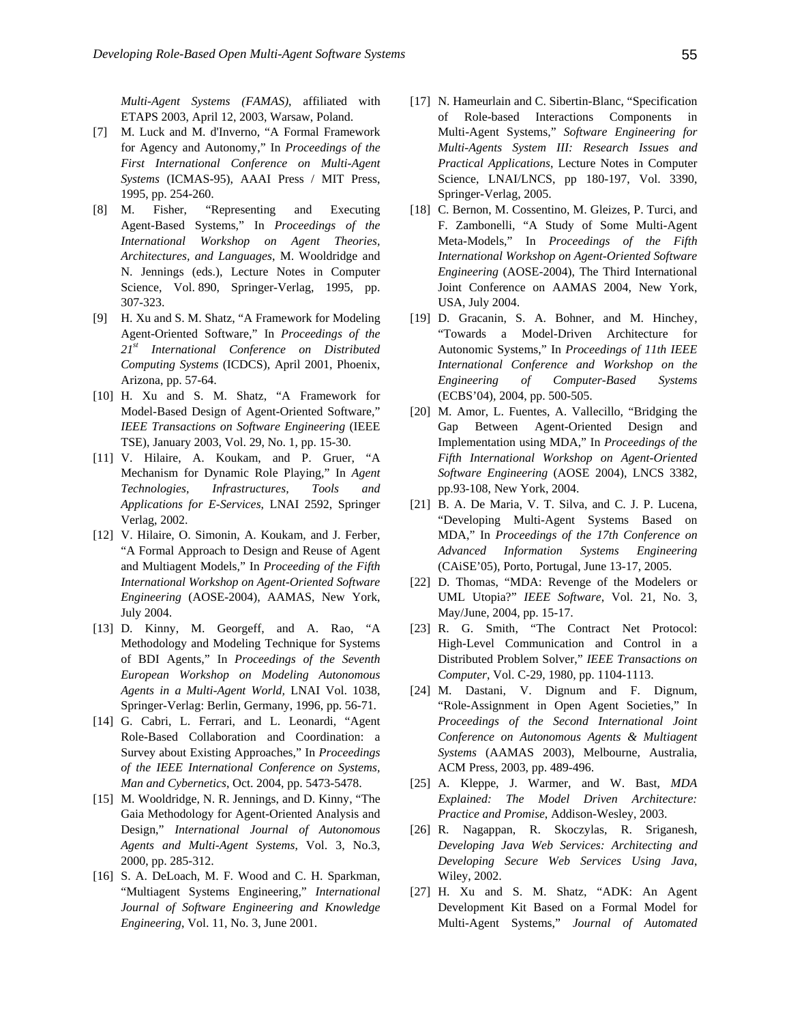*Multi-Agent Systems (FAMAS)*, affiliated with ETAPS 2003, April 12, 2003, Warsaw, Poland.

- [7] M. Luck and M. d'Inverno, "A Formal Framework for Agency and Autonomy," In *Proceedings of the First International Conference on Multi-Agent Systems* (ICMAS-95), AAAI Press / MIT Press, 1995, pp. 254-260.
- [8] M. Fisher, "Representing and Executing Agent-Based Systems*,*" In *Proceedings of the International Workshop on Agent Theories, Architectures, and Languages*, M. Wooldridge and N. Jennings (eds.), Lecture Notes in Computer Science, Vol. 890, Springer-Verlag, 1995, pp. 307-323.
- [9] H. Xu and S. M. Shatz, "A Framework for Modeling Agent-Oriented Software," In *Proceedings of the 21st International Conference on Distributed Computing Systems* (ICDCS), April 2001, Phoenix, Arizona, pp. 57-64.
- [10] H. Xu and S. M. Shatz, "A Framework for Model-Based Design of Agent-Oriented Software," *IEEE Transactions on Software Engineering* (IEEE TSE), January 2003, Vol. 29, No. 1, pp. 15-30.
- [11] V. Hilaire, A. Koukam, and P. Gruer, "A Mechanism for Dynamic Role Playing," In *Agent Technologies, Infrastructures, Tools and Applications for E-Services*, LNAI 2592, Springer Verlag, 2002.
- [12] V. Hilaire, O. Simonin, A. Koukam, and J. Ferber, "A Formal Approach to Design and Reuse of Agent and Multiagent Models," In *Proceeding of the Fifth International Workshop on Agent-Oriented Software Engineering* (AOSE-2004), AAMAS, New York, July 2004.
- [13] D. Kinny, M. Georgeff, and A. Rao, "A Methodology and Modeling Technique for Systems of BDI Agents," In *Proceedings of the Seventh European Workshop on Modeling Autonomous Agents in a Multi-Agent World,* LNAI Vol. 1038, Springer-Verlag: Berlin, Germany, 1996, pp. 56-71.
- [14] G. Cabri, L. Ferrari, and L. Leonardi, "Agent Role-Based Collaboration and Coordination: a Survey about Existing Approaches," In *Proceedings of the IEEE International Conference on Systems, Man and Cybernetics*, Oct. 2004, pp. 5473-5478.
- [15] M. Wooldridge, N. R. Jennings, and D. Kinny, "The Gaia Methodology for Agent-Oriented Analysis and Design," *International Journal of Autonomous Agents and Multi-Agent Systems*, Vol. 3, No.3, 2000, pp. 285-312.
- [16] S. A. DeLoach, M. F. Wood and C. H. Sparkman, "Multiagent Systems Engineering," *International Journal of Software Engineering and Knowledge Engineering*, Vol. 11, No. 3, June 2001.
- [17] N. Hameurlain and C. Sibertin-Blanc, "Specification" of Role-based Interactions Components in Multi-Agent Systems," *Software Engineering for Multi-Agents System III: Research Issues and Practical Applications*, Lecture Notes in Computer Science, LNAI/LNCS, pp 180-197, Vol. 3390, Springer-Verlag, 2005.
- [18] C. Bernon, M. Cossentino, M. Gleizes, P. Turci, and F. Zambonelli, "A Study of Some Multi-Agent Meta-Models," In *Proceedings of the Fifth International Workshop on Agent-Oriented Software Engineering* (AOSE-2004), The Third International Joint Conference on AAMAS 2004, New York, USA, July 2004.
- [19] D. Gracanin, S. A. Bohner, and M. Hinchey, "Towards a Model-Driven Architecture for Autonomic Systems," In *Proceedings of 11th IEEE International Conference and Workshop on the Engineering of Computer-Based Systems* (ECBS'04), 2004, pp. 500-505.
- [20] M. Amor, L. Fuentes, A. Vallecillo, "Bridging the Gap Between Agent-Oriented Design and Implementation using MDA," In *Proceedings of the Fifth International Workshop on Agent-Oriented Software Engineering* (AOSE 2004), LNCS 3382, pp.93-108, New York, 2004.
- [21] B. A. De Maria, V. T. Silva, and C. J. P. Lucena, "Developing Multi-Agent Systems Based on MDA," In *Proceedings of the 17th Conference on Advanced Information Systems Engineering* (CAiSE'05), Porto, Portugal, June 13-17, 2005.
- [22] D. Thomas, "MDA: Revenge of the Modelers or UML Utopia?" *IEEE Software*, Vol. 21, No. 3, May/June, 2004, pp. 15-17.
- [23] R. G. Smith, "The Contract Net Protocol: High-Level Communication and Control in a Distributed Problem Solver," *IEEE Transactions on Computer*, Vol. C-29, 1980, pp. 1104-1113.
- [24] M. Dastani, V. Dignum and F. Dignum, "Role-Assignment in Open Agent Societies," In *Proceedings of the Second International Joint Conference on Autonomous Agents & Multiagent Systems* (AAMAS 2003), Melbourne, Australia, ACM Press, 2003, pp. 489-496.
- [25] A. Kleppe, J. Warmer, and W. Bast, *MDA Explained: The Model Driven Architecture: Practice and Promise*, Addison-Wesley, 2003.
- [26] R. Nagappan, R. Skoczylas, R. Sriganesh, *Developing Java Web Services: Architecting and Developing Secure Web Services Using Java*, Wiley, 2002.
- [27] H. Xu and S. M. Shatz, "ADK: An Agent Development Kit Based on a Formal Model for Multi-Agent Systems," *Journal of Automated*